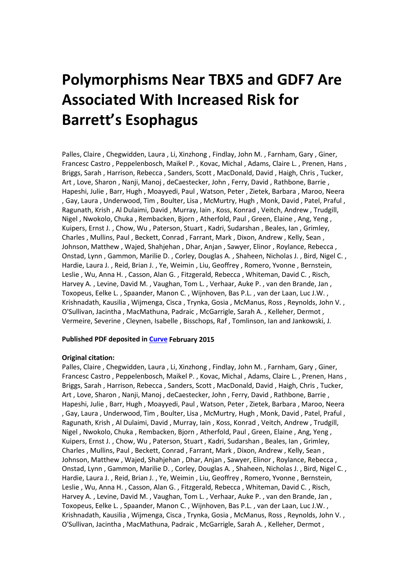# **Polymorphisms Near TBX5 and GDF7 Are Associated With Increased Risk for Barrett's Esophagus**

Palles, Claire , Chegwidden, Laura , Li, Xinzhong , Findlay, John M. , Farnham, Gary , Giner, Francesc Castro , Peppelenbosch, Maikel P. , Kovac, Michal , Adams, Claire L. , Prenen, Hans , Briggs, Sarah , Harrison, Rebecca , Sanders, Scott , MacDonald, David , Haigh, Chris , Tucker, Art , Love, Sharon , Nanji, Manoj , deCaestecker, John , Ferry, David , Rathbone, Barrie , Hapeshi, Julie , Barr, Hugh , Moayyedi, Paul , Watson, Peter , Zietek, Barbara , Maroo, Neera , Gay, Laura , Underwood, Tim , Boulter, Lisa , McMurtry, Hugh , Monk, David , Patel, Praful , Ragunath, Krish , Al Dulaimi, David , Murray, Iain , Koss, Konrad , Veitch, Andrew , Trudgill, Nigel , Nwokolo, Chuka , Rembacken, Bjorn , Atherfold, Paul , Green, Elaine , Ang, Yeng , Kuipers, Ernst J. , Chow, Wu , Paterson, Stuart , Kadri, Sudarshan , Beales, Ian , Grimley, Charles , Mullins, Paul , Beckett, Conrad , Farrant, Mark , Dixon, Andrew , Kelly, Sean , Johnson, Matthew , Wajed, Shahjehan , Dhar, Anjan , Sawyer, Elinor , Roylance, Rebecca , Onstad, Lynn , Gammon, Marilie D. , Corley, Douglas A. , Shaheen, Nicholas J. , Bird, Nigel C. , Hardie, Laura J. , Reid, Brian J. , Ye, Weimin , Liu, Geoffrey , Romero, Yvonne , Bernstein, Leslie , Wu, Anna H. , Casson, Alan G. , Fitzgerald, Rebecca , Whiteman, David C. , Risch, Harvey A. , Levine, David M. , Vaughan, Tom L. , Verhaar, Auke P. , van den Brande, Jan , Toxopeus, Eelke L. , Spaander, Manon C. , Wijnhoven, Bas P.L. , van der Laan, Luc J.W. , Krishnadath, Kausilia , Wijmenga, Cisca , Trynka, Gosia , McManus, Ross , Reynolds, John V. , O'Sullivan, Jacintha , MacMathuna, Padraic , McGarrigle, Sarah A. , Kelleher, Dermot , Vermeire, Severine , Cleynen, Isabelle , Bisschops, Raf , Tomlinson, Ian and Jankowski, J.

# **Published PDF deposited in [Curve](http://curve.coventry.ac.uk/open) February 2015**

### **Original citation:**

Palles, Claire , Chegwidden, Laura , Li, Xinzhong , Findlay, John M. , Farnham, Gary , Giner, Francesc Castro , Peppelenbosch, Maikel P. , Kovac, Michal , Adams, Claire L. , Prenen, Hans , Briggs, Sarah , Harrison, Rebecca , Sanders, Scott , MacDonald, David , Haigh, Chris , Tucker, Art , Love, Sharon , Nanji, Manoj , deCaestecker, John , Ferry, David , Rathbone, Barrie , Hapeshi, Julie , Barr, Hugh , Moayyedi, Paul , Watson, Peter , Zietek, Barbara , Maroo, Neera , Gay, Laura , Underwood, Tim , Boulter, Lisa , McMurtry, Hugh , Monk, David , Patel, Praful , Ragunath, Krish , Al Dulaimi, David , Murray, Iain , Koss, Konrad , Veitch, Andrew , Trudgill, Nigel , Nwokolo, Chuka , Rembacken, Bjorn , Atherfold, Paul , Green, Elaine , Ang, Yeng , Kuipers, Ernst J. , Chow, Wu , Paterson, Stuart , Kadri, Sudarshan , Beales, Ian , Grimley, Charles , Mullins, Paul , Beckett, Conrad , Farrant, Mark , Dixon, Andrew , Kelly, Sean , Johnson, Matthew , Wajed, Shahjehan , Dhar, Anjan , Sawyer, Elinor , Roylance, Rebecca , Onstad, Lynn , Gammon, Marilie D. , Corley, Douglas A. , Shaheen, Nicholas J. , Bird, Nigel C. , Hardie, Laura J. , Reid, Brian J. , Ye, Weimin , Liu, Geoffrey , Romero, Yvonne , Bernstein, Leslie , Wu, Anna H. , Casson, Alan G. , Fitzgerald, Rebecca , Whiteman, David C. , Risch, Harvey A. , Levine, David M. , Vaughan, Tom L. , Verhaar, Auke P. , van den Brande, Jan , Toxopeus, Eelke L. , Spaander, Manon C. , Wijnhoven, Bas P.L. , van der Laan, Luc J.W. , Krishnadath, Kausilia , Wijmenga, Cisca , Trynka, Gosia , McManus, Ross , Reynolds, John V. , O'Sullivan, Jacintha , MacMathuna, Padraic , McGarrigle, Sarah A. , Kelleher, Dermot ,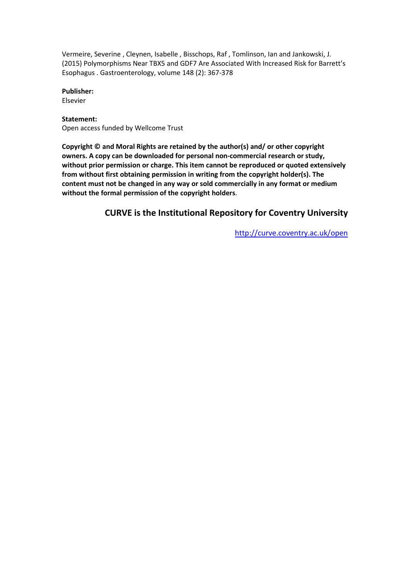Vermeire, Severine , Cleynen, Isabelle , Bisschops, Raf , Tomlinson, Ian and Jankowski, J. (2015) Polymorphisms Near TBX5 and GDF7 Are Associated With Increased Risk for Barrett's Esophagus . Gastroenterology, volume 148 (2): 367-378

**Publisher:**

Elsevier

# **Statement:**

Open access funded by Wellcome Trust

**Copyright © and Moral Rights are retained by the author(s) and/ or other copyright owners. A copy can be downloaded for personal non-commercial research or study, without prior permission or charge. This item cannot be reproduced or quoted extensively from without first obtaining permission in writing from the copyright holder(s). The content must not be changed in any way or sold commercially in any format or medium without the formal permission of the copyright holders**.

# **CURVE is the Institutional Repository for Coventry University**

<http://curve.coventry.ac.uk/open>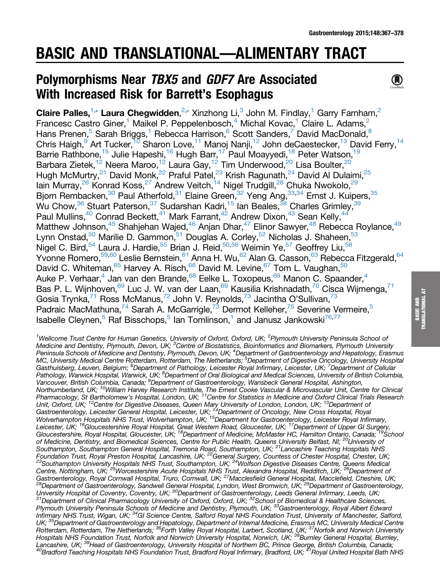# BASIC AND TRANSLATIONAL—ALIMENTARY TRACT

# Polymorphisms Near TBX5 and GDF7 Are Associated With Increased Risk for Barrett's Esophagus



Claire Palles[,](#page-3-0)  $1, *$  $1, *$  Laura Chegwidden,  $2, *$  Xinzhong Li,  $3$  John M. Findlay,  $1$  Garry Farnham,  $2$ Francesc Castro Giner,<sup>1</sup> Maikel P. Peppelenbosch,<sup>4</sup> Michal Kovac,<sup>1</sup> Claire L. Adams,<sup>2</sup> Hans Prenen,<sup>5</sup> Sarah Briggs,<sup>1</sup> Rebecca Harrison,<sup>6</sup> Scott Sanders,<sup>7</sup> David MacDonald,<sup>8</sup> Chris Haigh,<sup>9</sup> Art Tucker,<sup>10</sup> Sharon Love,<sup>11</sup> Manoj Nanji,<sup>12</sup> John deCaestecker,<sup>13</sup> David Ferry,<sup>14</sup> Barrie Rathbone,<sup>15</sup> Julie Hapeshi,<sup>16</sup> Hugh Barr,<sup>17</sup> Paul Moayyedi,<sup>18</sup> Peter Watson,<sup>19</sup> Barbara Zietek,<sup>12</sup> Neera Maroo,<sup>12</sup> Laura Gay,<sup>12</sup> Tim Underwood,<sup>20</sup> Lisa Boulter,<sup>20</sup> Hugh McMurtry,<sup>21</sup> David Monk,<sup>22</sup> Praful Patel,<sup>23</sup> Krish Ragunath,<sup>24</sup> David Al Dulaimi,<sup>25</sup> lain Murray,<sup>26</sup> Konrad Koss,<sup>27</sup> Andrew Veitch,<sup>14</sup> Nigel Trudgill,<sup>28</sup> Chuka Nwokolo,<sup>29</sup> Bjorn Rembacken,<sup>30</sup> Paul Atherfold,<sup>31</sup> Elaine Green,<sup>32</sup> Yeng Ang,<sup>33,34</sup> Ernst J. Kuipers,<sup>35</sup> Wu Chow, $36$  Stuart Paterson, $37$  Sudarshan Kadri, $15$  lan Beales, $38$  Charles Grimley,  $39$ Paul Mullins,<sup>40</sup> Conrad Beckett,<sup>41</sup> Mark Farrant,<sup>42</sup> Andrew Dixon,<sup>43</sup> Sean Kelly,<sup>44</sup> Matthew Johnson,<sup>45</sup> Shahjehan Wajed,<sup>46</sup> Anjan Dhar,<sup>47</sup> Elinor Sawyer,<sup>48</sup> Rebecca Roylance,<sup>49</sup> Lynn Onstad,<sup>50</sup> Marilie D. Gammon,<sup>51</sup> Douglas A. Corley,<sup>52</sup> Nicholas J. Shaheen,<sup>53</sup> Nigel C. Bird,<sup>54</sup> Laura J. Hardie,<sup>55</sup> Brian J. Reid,<sup>50,56</sup> Weimin Ye,<sup>57</sup> Geoffrey Liu,<sup>58</sup> Yvonne Romero,<sup>59,60</sup> Leslie Bernstein,<sup>61</sup> Anna H. Wu,<sup>62</sup> Alan G. Casson,<sup>63</sup> Rebecca Fitzgerald,<sup>64</sup> David C. Whiteman,<sup>65</sup> Harvey A. Risch,<sup>66</sup> David M. Levine,<sup>67</sup> Tom L. Vaughan,<sup>50</sup> Auke P. Verhaar,<sup>4</sup> Jan van den Brande,<sup>68</sup> Eelke L. Toxopeus,<sup>69</sup> Manon C. Spaander,<sup>4</sup> Bas P. L. Wijnhoven,<sup>69</sup> Luc J. W. van der Laan,<sup>69</sup> Kausilia Krishnadath,<sup>70</sup> Cisca Wijmenga,<sup>71</sup> Gosia Trynka, $^{71}$  Ross McManus, $^{72}$  John V. Reynolds, $^{73}$  Jacintha O'Sullivan, $^{73}$ Padraic MacMathuna,<sup>74</sup> Sarah A. McGarrigle,<sup>73</sup> Dermot Kelleher,<sup>75</sup> Severine Vermeire,<sup>5</sup> Isabelle Cleynen,<sup>5</sup> Raf Bisschops,<sup>5</sup> Ian Tomlinson,<sup>1</sup> and Janusz Jankowski<sup>76,77</sup>

<sup>1</sup>Wellcome Trust Centre for Human Genetics, University of Oxford, Oxford, UK; <sup>2</sup>Plymouth University Peninsula School of Medicine and Dentistry, Plymouth, Devon, UK; <sup>3</sup>Centre of Biostatistics, Bioinformatics and Biomarkers, Plymouth University Peninsula Schools of Medicine and Dentistry, Plymouth, Devon, UK; <sup>4</sup>Department of Gastroenterology and Hepatology, Erasmus MC, University Medical Centre Rotterdam, Rotterdam, The Netherlands; <sup>5</sup>Department of Digestive Oncology, University Hospital<br>Gasthuisberg, Leuven, Belgium; <sup>6</sup>Department of Pathology, Leicester Royal Infirmary, Leicester, Pharmacology, St Bartholomew's Hospital, London, UK; <sup>11</sup>Centre for Statistics in Medicine and Oxford Clinical Trials Research Unit, Oxford, UK; <sup>12</sup>Centre for Digestive Diseases, Queen Mary University of London, London, UK; <sup>13</sup>Department of Gastroenterology, Leicester General Hospital, Leicester, UK; <sup>14</sup>Department of Oncology, New Cross Hospital, Royal Wolverhampton Hospitals NHS Trust, Wolverhampton, UK; <sup>15</sup>Department for Gastroenterology, Leicester Royal Infirmary, Leicester, UK; <sup>16</sup>Gloucestershire Royal Hospital, Great Western Road, Gloucester, UK; <sup>17</sup>Department of Upper GI Surgery, Gloucestershire, Royal Hospital, Gloucester, UK; <sup>18</sup>Department of Medicine, McMaster HC, Hamilton Ontario, Canada; <sup>19</sup>School of Medicine, Dentistry, and Biomedical Sciences, Centre for Public Health, Queens University Belfast, NI; <sup>20</sup>University of Southampton, Southampton General Hospital, Tremona Road, Southampton, UK; <sup>21</sup>Lancashire Teaching Hospitals NHS Foundation Trust, Royal Preston Hospital, Lancashire, UK; <sup>22</sup>General Surgery, Countess of Chester Hospital, Chester, UK;<br><sup>23</sup>Southampton University Hospitals NHS Trust, Southampton, UK; <sup>24</sup>Wolfson Digestive Diseases Cent Centre, Nottingham, UK; <sup>25</sup>Worcestershire Acute Hospitals NHS Trust, Alexandra Hospital, Redditch, UK; <sup>26</sup>Department of Gastroenterology, Royal Cornwall Hospital, Truro, Cornwall, UK; <sup>27</sup>Macclesfield General Hospital, Macclefield, Cheshire, UK;<br><sup>28</sup>Department of Gastroenterology, Sandwell General Hospital, Lyndon, West Bromwich, UK; <sup>29</sup>De University Hospital of Coventry, Coventry, UK; <sup>30</sup>Department of Gastroenterology, Leeds General Infirmary, Leeds, UK;<br><sup>31</sup>Department of Clinical Pharmacology University of Oxford, Oxford, UK; <sup>32</sup>School of Biomedical & He Plymouth University Peninsula Schools of Medicine and Dentistry, Plymouth, UK; <sup>33</sup>Gastroenterology, Royal Albert Edward Infirmary NHS Trust, Wigan, UK; <sup>34</sup>GI Science Centre, Salford Royal NHS Foundation Trust, University of Manchester, Salford, UK; <sup>35</sup>Department of Gastroenterology and Hepatology, Department of Internal Medicine, Erasmus MC, University Medical Centre Rotterdam, Rotterdam, The Netherlands; <sup>36</sup>Forth Valley Royal Hospital, Larbert, Scotland, UK; <sup>37</sup>Norfolk and Norwich University Hospitals NHS Foundation Trust, Norfolk and Norwich University Hospital, Norwich, UK; <sup>38</sup>Burnley General Hospital, Burnley, Lancashire, UK; <sup>39</sup>Head of Gastroenterology, University Hospital of Northern BC, Prince George, British Columbia, Canada;<br><sup>40</sup>Bradford Teaching Hospitals NHS Foundation Trust, Bradford Royal Infirmary, Bradford, UK; <sup>41</sup>R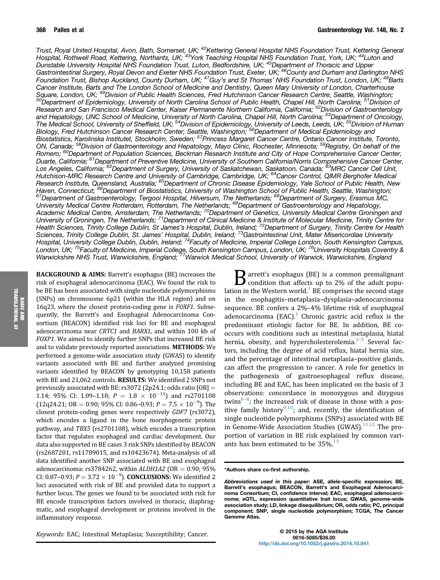<span id="page-3-0"></span>Trust, Royal United Hospital, Avon, Bath, Somerset, UK; <sup>42</sup>Kettering General Hospital NHS Foundation Trust, Kettering General Hospital, Rothwell Road, Kettering, Northants, UK; <sup>43</sup>York Teaching Hospital NHS Foundation Trust, York, UK; <sup>44</sup>Luton and Dunstable University Hospital NHS Foundation Trust, Luton, Bedfordshire, UK; <sup>45</sup>Department of Thoracic and Upper Gastrointestinal Surgery, Royal Devon and Exeter NHS Foundation Trust, Exeter, UK; <sup>46</sup>County and Durham and Darlington NHS Foundation Trust, Bishop Auckland, County Durham, UK; <sup>47</sup>Guy's and St Thomas' NHS Foundation Trust, London, UK; <sup>48</sup>Barts Cancer Institute, Barts and The London School of Medicine and Dentistry, Queen Mary University of London, Charterhouse<br>Square, London, UK; <sup>49</sup>Division of Public Health Sciences, Fred Hutchinson Cancer Research Centre, Sea 50 Department of Epidemiology, University of North Carolina School of Public Health, Chapel Hill, North Carolina; <sup>51</sup> Division of Research and San Francisco Medical Center, Kaiser Permanente Northern California, California; <sup>52</sup>Division of Gastroenterology and Hepatology, UNC School of Medicine, University of North Carolina, Chapel Hill, North Carolina; <sup>53</sup>Department of Oncology, The Medical School, University of Sheffield, UK; <sup>54</sup>Division of Epidemiology, University of Leeds, Leeds, UK; <sup>55</sup>Division of Human Biology, Fred Hutchinson Cancer Research Center, Seattle, Washington; <sup>56</sup>Department of Medical Epidemiology and Biostatistics, Karolinska Institutet, Stockholm, Sweden; <sup>57</sup>Princess Margaret Cancer Centre, Ontario Cancer Institute, Toronto, ON, Canada; <sup>58</sup>Division of Gastroenterology and Hepatology, Mayo Clinic, Rochester, Minnesota; <sup>59</sup>Registry, On behalf of the Romero; <sup>60</sup>Department of Population Sciences, Beckman Research Institute and City of Hope Comprehensive Cancer Center, Duarte, California; <sup>61</sup>Department of Preventive Medicine, University of Southern California/Norris Comprehensive Cancer Center, Los Angeles, California; <sup>62</sup>Department of Surgery, University of Saskatchewan, Saskatoon, Canada; <sup>63</sup>MRC Cancer Cell Unit, Hutchison-MRC Research Centre and University of Cambridge, Cambridge, UK; <sup>64</sup>Cancer Control, QIMR Berghofer Medical Research Institute, Queensland, Australia; <sup>65</sup>Department of Chronic Disease Epidemiology, Yale School of Public Health, New<br>Haven, Connecticut; <sup>66</sup>Department of Biostatistics, University of Washington School of Public He <sup>67</sup>Department of Gastroenterology, Tergooi Hospital, Hilversum, The Netherlands; <sup>68</sup>Department of Surgery, Erasmus MC, University Medical Centre Rotterdam, Rotterdam, The Netherlands; <sup>69</sup>Department of Gastroenterology and Hepatology, Academic Medical Centre, Amsterdam, The Netherlands; <sup>70</sup>Department of Genetics, University Medical Centre Groningen and University of Groningen, The Netherlands; 71Department of Clinical Medicine & Institute of Molecular Medicine, Trinity Centre for Health Sciences, Trinity College Dublin, St James's Hospital, Dublin, Ireland; <sup>72</sup>Department of Surgery, Trinity Centre for Health Sciences, Trinity College Dublin, St. James' Hospital, Dublin, Ireland; <sup>73</sup>Gastrointestinal Unit, Mater Misericordiae University Hospital, University College Dublin, Dublin, Ireland; <sup>74</sup>Faculty of Medicine, Imperial College London, South Kensington Campus, London, UK; <sup>75</sup>Faculty of Medicine, Imperial College, South Kensington Campus, London, UK; <sup>76</sup>University Hospitals Coventry & Warwickshire NHS Trust, Warwickshire, England; <sup>77</sup>Warwick Medical School, University of Warwick, Warwickshire, England

BACKGROUND & AIMS: Barrett's esophagus (BE) increases the risk of esophageal adenocarcinoma (EAC). We found the risk to be BE has been associated with single nucleotide polymorphisms (SNPs) on chromosome 6p21 (within the HLA region) and on 16q23, where the closest protein-coding gene is *FOXF1*. Subsequently, the Barrett's and Esophageal Adenocarcinoma Consortium (BEACON) identified risk loci for BE and esophageal adenocarcinoma near CRTC1 and BARX1, and within 100 kb of FOXP1. We aimed to identify further SNPs that increased BE risk and to validate previously reported associations. METHODS: We performed a genome-wide association study (GWAS) to identify variants associated with BE and further analyzed promising variants identified by BEACON by genotyping 10,158 patients with BE and 21,062 controls. RESULTS: We identified 2 SNPs not previously associated with BE: rs3072 (2p24.1; odds ratio  $[OR] =$ 1.14; 95% CI: 1.09-1.18;  $P = 1.8 \times 10^{-11}$  and rs2701108  $(12q24.21;$  OR = 0.90; 95% CI: 0.86–0.93;  $P = 7.5 \times 10^{-9}$ ). The closest protein-coding genes were respectively GDF7 (rs3072), which encodes a ligand in the bone morphogenetic protein pathway, and TBX5 (rs2701108), which encodes a transcription factor that regulates esophageal and cardiac development. Our data also supported in BE cases 3 risk SNPs identified by BEACON (rs2687201, rs11789015, and rs10423674). Meta-analysis of all data identified another SNP associated with BE and esophageal adenocarcinoma: rs3784262, within  $ALDH1A2$  (OR = 0.90; 95%) CI: 0.87–0.93;  $P = 3.72 \times 10^{-9}$ ). **CONCLUSIONS:** We identified 2 loci associated with risk of BE and provided data to support a further locus. The genes we found to be associated with risk for BE encode transcription factors involved in thoracic, diaphragmatic, and esophageal development or proteins involved in the inflammatory response.

 $\bf{B}$  arrett's esophagus (BE) is a common premalignant<br>condition that affects up to 2% of the adult popu-lation in the Western world.<sup>[1](#page-11-0)</sup> BE comprises the second stage in the esophagitis–metaplasia–dysplasia–adenocarcinoma sequence. BE confers a 2%–4% lifetime risk of esophageal adenocarcinoma  $(EAC)<sup>1</sup>$  $(EAC)<sup>1</sup>$  $(EAC)<sup>1</sup>$  Chronic gastric acid reflux is the predominant etiologic factor for BE. In addition, BE cooccurs with conditions such as intestinal metaplasia, hiatal hernia, obesity, and hypercholesterolemia.<sup>[2](#page-11-0)–[5](#page-11-0)</sup> Several factors, including the degree of acid reflux, hiatal hernia size, and the percentage of intestinal metaplasia–positive glands, can affect the progression to cancer. A role for genetics in the pathogenesis of gastroesophageal reflux disease, including BE and EAC, has been implicated on the basis of 3 observations: concordance in monozygous and dizygous twins $6-8$  $6-8$  $6-8$ ; the increased risk of disease in those with a positive family history $9,10$ ; and, recently, the identification of single nucleotide polymorphisms (SNPs) associated with BE in Genome-Wide Association Studies (GWAS).<sup>[11,12](#page-11-0)</sup> The proportion of variation in BE risk explained by common variants has been estimated to be  $35\%$ .<sup>[13](#page-11-0)</sup>

#### \*Authors share co-first authorship.

Keywords: EAC; Intestinal Metaplasia; Susceptibility; Cancer.

© 2015 by the AGA Institute 0016-5085/\$36.00 <http://dx.doi.org/10.1053/j.gastro.2014.10.041>

Abbreviations used in this paper: ASE, allele-specific expression; BE, Barrett's esophagus; BEACON, Barrett's and Esophageal Adenocarcinoma Consortium; CI, confidence interval; EAC, esophageal adenocarcinoma; eQTL, expression quantitative trait locus; GWAS, genome-wide association study; LD, linkage disequilibrium; OR, odds ratio; PC, principal component; SNP, single nucleotide polymorphism; TCGA, The Cancer Genome Atlas.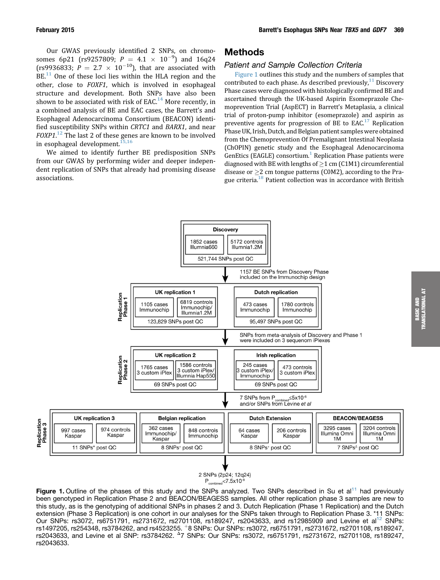Our GWAS previously identified 2 SNPs, on chromosomes 6p21 (rs9257809;  $P = 4.1 \times 10^{-9}$ ) and 16q24 (rs9936833;  $P = 2.7 \times 10^{-10}$ ), that are associated with BE.<sup>[11](#page-11-0)</sup> One of these loci lies within the HLA region and the other, close to FOXF1, which is involved in esophageal structure and development. Both SNPs have also been shown to be associated with risk of EAC.<sup>[14](#page-11-0)</sup> More recently, in a combined analysis of BE and EAC cases, the Barrett's and Esophageal Adenocarcinoma Consortium (BEACON) identified susceptibility SNPs within CRTC1 and BARX1, and near  $FOXP1$ .<sup>[12](#page-11-0)</sup> The last 2 of these genes are known to be involved in esophageal development.<sup>[15,16](#page-11-0)</sup>

We aimed to identify further BE predisposition SNPs from our GWAS by performing wider and deeper independent replication of SNPs that already had promising disease associations.

# Methods

# Patient and Sample Collection Criteria

Figure 1 outlines this study and the numbers of samples that contributed to each phase. As described previously, $11$  Discovery Phase cases were diagnosed with histologically confirmed BE and ascertained through the UK-based Aspirin Esomeprazole Chemoprevention Trial (AspECT) in Barrett's Metaplasia, a clinical trial of proton-pump inhibitor (esomeprazole) and aspirin as preventive agents for progression of BE to  $EAC<sup>17</sup>$  $EAC<sup>17</sup>$  $EAC<sup>17</sup>$  Replication Phase UK, Irish, Dutch, and Belgian patient samples were obtained from the Chemoprevention Of Premalignant Intestinal Neoplasia (ChOPIN) genetic study and the Esophageal Adenocarcinoma GenEtics (EAGLE) consortium.<sup>[1](#page-11-0)</sup> Replication Phase patients were diagnosed with BE with lengths of  $\geq$ 1 cm (C1M1) circumferential disease or  $>$ 2 cm tongue patterns (COM2), according to the Prague criteria.<sup>18</sup> Patient collection was in accordance with British



Figure 1. Outline of the phases of this study and the SNPs analyzed. Two SNPs described in Su et al<sup>[11](#page-11-0)</sup> had previously been genotyped in Replication Phase 2 and BEACON/BEAGESS samples. All other replication phase 3 samples are new to this study, as is the genotyping of additional SNPs in phases 2 and 3. Dutch Replication (Phase 1 Replication) and the Dutch extension (Phase 3 Replication) is one cohort in our analyses for the SNPs taken through to Replication Phase 3. \*11 SNPs: Our SNPs: rs3072, rs6751791, rs2731672, rs2701108, rs189247, rs2043633, and rs12985909 and Levine et a[l12](#page-11-0) SNPs: rs1497205, rs254348, rs3784262, and rs4523255. +8 SNPs: Our SNPs: rs3072, rs6751791, rs2731672, rs2701108, rs189247, rs2043633, and Levine et al SNP: rs3784262. <sup>2</sup>7 SNPs: Our SNPs: rs3072, rs6751791, rs2731672, rs2701108, rs189247, rs2043633.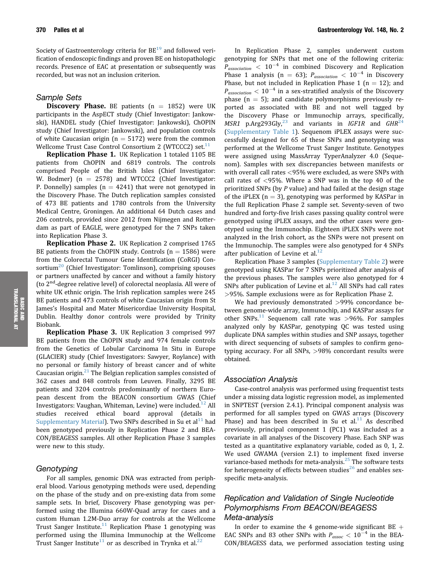Society of Gastroenterology criteria for  $BE^{19}$  $BE^{19}$  $BE^{19}$  and followed verification of endoscopic findings and proven BE on histopathologic records. Presence of EAC at presentation or subsequently was recorded, but was not an inclusion criterion.

#### Sample Sets

**Discovery Phase.** BE patients  $(n = 1852)$  were UK participants in the AspECT study (Chief Investigator: Jankowski), HANDEL study (Chief Investigator: Jankowski), ChOPIN study (Chief Investigator: Jankowski), and population controls of white Caucasian origin ( $n = 5172$ ) were from the common Wellcome Trust Case Control Consortium 2 (WTCCC2) set. $^{11}$  $^{11}$  $^{11}$ 

Replication Phase 1. UK Replication 1 totaled 1105 BE patients from ChOPIN and 6819 controls. The controls comprised People of the British Isles (Chief Investigator: W. Bodmer) ( $n = 2578$ ) and WTCCC2 (Chief Investigator: P. Donnelly) samples ( $n = 4241$ ) that were not genotyped in the Discovery Phase. The Dutch replication samples consisted of 473 BE patients and 1780 controls from the University Medical Centre, Groningen. An additional 64 Dutch cases and 206 controls, provided since 2012 from Nijmegen and Rotterdam as part of EAGLE, were genotyped for the 7 SNPs taken into Replication Phase 3.

Replication Phase 2. UK Replication 2 comprised 1765 BE patients from the ChOPIN study. Controls ( $n = 1586$ ) were from the Colorectal Tumour Gene Identification (CoRGI) Con-sortium<sup>[20](#page-12-0)</sup> (Chief Investigator: Tomlinson), comprising spouses or partners unaffected by cancer and without a family history (to  $2<sup>nd</sup>$ -degree relative level) of colorectal neoplasia. All were of white UK ethnic origin. The Irish replication samples were 245 BE patients and 473 controls of white Caucasian origin from St James's Hospital and Mater Misericordiae University Hospital, Dublin. Healthy donor controls were provided by Trinity Biobank.

Replication Phase 3. UK Replication 3 comprised 997 BE patients from the ChOPIN study and 974 female controls from the Genetics of Lobular Carcinoma In Situ in Europe (GLACIER) study (Chief Investigators: Sawyer, Roylance) with no personal or family history of breast cancer and of white Caucasian origin. $^{21}$  $^{21}$  $^{21}$  The Belgian replication samples consisted of 362 cases and 848 controls from Leuven. Finally, 3295 BE patients and 3204 controls predominantly of northern European descent from the BEACON consortium GWAS (Chief Investigators: Vaughan, Whiteman, Levine) were included.<sup>[12](#page-11-0)</sup> All studies received ethical board approval (details in Supplementary Material). Two SNPs described in Su et  $al<sup>11</sup>$  $al<sup>11</sup>$  $al<sup>11</sup>$  had been genotyped previously in Replication Phase 2 and BEA-CON/BEAGESS samples. All other Replication Phase 3 samples were new to this study.

#### Genotyping

For all samples, genomic DNA was extracted from peripheral blood. Various genotyping methods were used, depending on the phase of the study and on pre-existing data from some sample sets. In brief, Discovery Phase genotyping was performed using the Illumina 660W-Quad array for cases and a custom Human 1.2M-Duo array for controls at the Wellcome Trust Sanger Institute.<sup>[11](#page-11-0)</sup> Replication Phase 1 genotyping was performed using the Illumina Immunochip at the Wellcome Trust Sanger Institute<sup>[11](#page-11-0)</sup> or as described in Trynka et al.<sup>[22](#page-12-0)</sup>

In Replication Phase 2, samples underwent custom genotyping for SNPs that met one of the following criteria:  $P_{association}$  < 10<sup>-4</sup> in combined Discovery and Replication Phase 1 analysis (n = 63);  $P_{association} < 10^{-4}$  in Discovery Phase, but not included in Replication Phase 1 ( $n = 12$ ); and  $P_{association} < 10^{-4}$  in a sex-stratified analysis of the Discovery phase  $(n = 5)$ ; and candidate polymorphisms previously reported as associated with BE and not well tagged by the Discovery Phase or Immunochip arrays, specifically, MSR1 p.Arg293Gly,<sup>[23](#page-12-0)</sup> and variants in IGF1R and GHR<sup>2</sup> (Supplementary Table 1). Sequenom iPLEX assays were successfully designed for 65 of these SNPs and genotyping was performed at the Wellcome Trust Sanger Institute. Genotypes were assigned using MassArray TyperAnalyzer 4.0 (Sequenom). Samples with sex discrepancies between manifests or with overall call rates <95% were excluded, as were SNPs with call rates of  $<$ 95%. Where a SNP was in the top 40 of the prioritized SNPs (by P value) and had failed at the design stage of the iPLEX ( $n = 3$ ), genotyping was performed by KASPar in the full Replication Phase 2 sample set. Seventy-seven of two hundred and forty-five Irish cases passing quality control were genotyped using iPLEX assays, and the other cases were genotyped using the Immunochip. Eighteen iPLEX SNPs were not analyzed in the Irish cohort, as the SNPs were not present on the Immunochip. The samples were also genotyped for 4 SNPs after publication of Levine et al. $^{12}$  $^{12}$  $^{12}$ 

Replication Phase 3 samples (Supplementary Table 2) were genotyped using KASPar for 7 SNPs prioritized after analysis of the previous phases. The samples were also genotyped for 4 SNPs after publication of Levine et al. $^{12}$  $^{12}$  $^{12}$  All SNPs had call rates >95%. Sample exclusions were as for Replication Phase 2.

We had previously demonstrated >99% concordance between genome-wide array, Immunochip, and KASPar assays for other SNPs.<sup>[11](#page-11-0)</sup> Sequenom call rate was  $>96\%$ . For samples analyzed only by KASPar, genotyping QC was tested using duplicate DNA samples within studies and SNP assays, together with direct sequencing of subsets of samples to confirm genotyping accuracy. For all SNPs, >98% concordant results were obtained.

#### Association Analysis

Case-control analysis was performed using frequentist tests under a missing data logistic regression model, as implemented in SNPTEST (version 2.4.1). Principal component analysis was performed for all samples typed on GWAS arrays (Discovery Phase) and has been described in Su et al. $11$  As described previously, principal component 1 (PC1) was included as a covariate in all analyses of the Discovery Phase. Each SNP was tested as a quantitative explanatory variable, coded as 0, 1, 2. We used GWAMA (version 2.1) to implement fixed inverse variance-based methods for meta-analysis.<sup>[25](#page-12-0)</sup> The software tests for heterogeneity of effects between studies<sup>[26](#page-12-0)</sup> and enables sexspecific meta-analysis.

# Replication and Validation of Single Nucleotide Polymorphisms From BEACON/BEAGESS Meta-analysis

In order to examine the 4 genome-wide significant  $BE +$ EAC SNPs and 83 other SNPs with  $P_{assoc} < 10^{-4}$  in the BEA-CON/BEAGESS data, we performed association testing using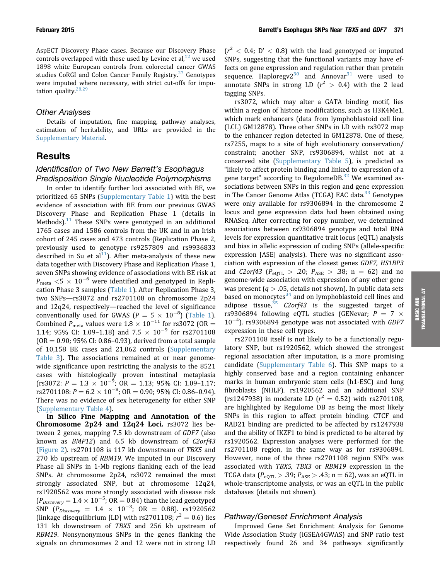AspECT Discovery Phase cases. Because our Discovery Phase controls overlapped with those used by Levine et al, $^{12}$  $^{12}$  $^{12}$  we used 1898 white European controls from colorectal cancer GWAS studies CoRGI and Colon Cancer Family Registry.<sup>[27](#page-12-0)</sup> Genotypes were imputed where necessary, with strict cut-offs for imputation quality. $28,29$ 

#### Other Analyses

Details of imputation, fine mapping, pathway analyses, estimation of heritability, and URLs are provided in the Supplementary Material.

# Results

#### Identification of Two New Barrett's Esophagus Predisposition Single Nucleotide Polymorphisms

In order to identify further loci associated with BE, we prioritized 65 SNPs (Supplementary Table 1) with the best evidence of association with BE from our previous GWAS Discovery Phase and Replication Phase 1 (details in Methods). $11$  These SNPs were genotyped in an additional 1765 cases and 1586 controls from the UK and in an Irish cohort of 245 cases and 473 controls (Replication Phase 2, previously used to genotype rs9257809 and rs9936833 described in Su et al<sup>11</sup>). After meta-analysis of these new data together with Discovery Phase and Replication Phase 1, seven SNPs showing evidence of associations with BE risk at  $P_{\rm meta}$  <5  $\times$  10<sup>-6</sup> were identified and genotyped in Replication Phase 3 samples ([Table 1](#page-7-0)). After Replication Phase 3, two SNPs—rs3072 and rs2701108 on chromosome 2p24 and 12q24, respectively—reached the level of significance conventionally used for GWAS  $(P = 5 \times 10^{-8})$  [\(Table 1\)](#page-7-0). Combined  $P_{\text{meta}}$  values were  $1.8 \times 10^{-11}$  for rs3072 (OR = 1.14; 95% CI: 1.09–1.18) and  $7.5 \times 10^{-9}$  for rs2701108  $(OR = 0.90; 95\% CI: 0.86-0.93)$ , derived from a total sample of 10,158 BE cases and 21,062 controls (Supplementary Table 3). The associations remained at or near genomewide significance upon restricting the analysis to the 8521 cases with histologically proven intestinal metaplasia  $\text{(rs3072: } P = 1.3 \times 10^{-9}; \text{ OR } = 1.13; 95\% \text{ CI: } 1.09 - 1.17;$ rs2701108:  $P = 6.2 \times 10^{-8}$ ; OR = 0.90; 95% CI: 0.86-0.94). There was no evidence of sex heterogeneity for either SNP (Supplementary Table 4).

In Silico Fine Mapping and Annotation of the Chromosome 2p24 and 12q24 Loci. rs3072 lies between 2 genes, mapping 7.5 kb downstream of GDF7 (also known as BMP12) and 6.5 kb downstream of C2orf43 [\(Figure 2\)](#page-8-0). rs2701108 is 117 kb downstream of TBX5 and 270 kb upstream of RBM19. We imputed in our Discovery Phase all SNPs in 1-Mb regions flanking each of the lead SNPs. At chromosome 2p24, rs3072 remained the most strongly associated SNP, but at chromosome 12q24, rs1920562 was more strongly associated with disease risk  $(P_{\text{Discovery}}=1.4\times10^{-5}$ ; OR = 0.84) than the lead genotyped SNP  $(P_{Discovery} = 1.4 \times 10^{-3}; \text{ OR } = 0.88)$  rs1920562 (linkage disequilibrium [LD] with rs2701108;  $r^2 = 0.6$ ) lies 131 kb downstream of TBX5 and 256 kb upstream of RBM19. Nonsynonymous SNPs in the genes flanking the signals on chromosomes 2 and 12 were not in strong LD

 $(r^2 < 0.4; D' < 0.8)$  with the lead genotyped or imputed SNPs, suggesting that the functional variants may have effects on gene expression and regulation rather than protein sequence. Haploregy $2^{30}$  and Annovar<sup>[31](#page-12-0)</sup> were used to annotate SNPs in strong LD  $(r^2 > 0.4)$  with the 2 lead tagging SNPs.

rs3072, which may alter a GATA binding motif, lies within a region of histone modifications, such as H3K4Me1, which mark enhancers (data from lymphoblastoid cell line (LCL) GM12878). Three other SNPs in LD with rs3072 map to the enhancer region detected in GM12878. One of these, rs7255, maps to a site of high evolutionary conservation/ constraint; another SNP, rs9306894, whilst not at a conserved site (Supplementary Table 5), is predicted as "likely to affect protein binding and linked to expression of a gene target" according to RegulomeDB.<sup>[32](#page-12-0)</sup> We examined associations between SNPs in this region and gene expression in The Cancer Genome Atlas (TCGA) EAC data.<sup>33</sup> Genotypes were only available for rs9306894 in the chromosome 2 locus and gene expression data had been obtained using RNASeq. After correcting for copy number, we determined associations between rs9306894 genotype and total RNA levels for expression quantitative trait locus (eQTL) analysis and bias in allelic expression of coding SNPs (allele-specific expression [ASE] analysis). There was no significant association with expression of the closest genes GDF7, HS1BP3 and *C2orf43* ( $P_{\text{eOTL}} > .20$ ;  $P_{\text{ASE}} > .38$ ; n = 62) and no genome-wide association with expression of any other gene was present ( $q > .05$ , details not shown). In public data sets based on monocytes<sup>[34](#page-12-0)</sup> and on lymphoblastoid cell lines and adipose tissue,  $35$  C2orf43 is the suggested target of rs9306894 following eQTL studies (GENevar;  $P = 7 \times 10^{-4}$  $10^{-4}$ ). rs9306894 genotype was not associated with GDF7 expression in these cell types.

rs2701108 itself is not likely to be a functionally regulatory SNP, but rs1920562, which showed the strongest regional association after imputation, is a more promising candidate (Supplementary Table 6). This SNP maps to a highly conserved base and a region containing enhancer marks in human embryonic stem cells (h1-ESC) and lung fibroblasts (NHLF). rs1920562 and an additional SNP (rs1247938) in moderate LD ( $r^2 = 0.52$ ) with rs2701108, are highlighted by Regulome DB as being the most likely SNPs in this region to affect protein binding. CTCF and RAD21 binding are predicted to be affected by rs1247938 and the ability of IKZF1 to bind is predicted to be altered by rs1920562. Expression analyses were performed for the rs2701108 region, in the same way as for rs9306894. However, none of the three rs2701108 region SNPs was associated with TBX5, TBX3 or RBM19 expression in the TCGA data ( $P_{\text{eQTL}} > .39$ ;  $P_{\text{ASE}} > .43$ ; n = 62), was an eQTL in whole-transcriptome analysis, or was an eQTL in the public databases (details not shown).

#### Pathway/Geneset Enrichment Analysis

Improved Gene Set Enrichment Analysis for Genome Wide Association Study (iGSEA4GWAS) and SNP ratio test respectively found 26 and 34 pathways significantly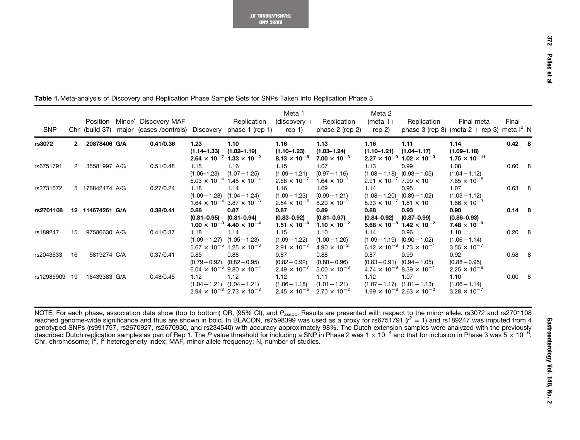| <b>SNP</b> |                | Position         | Minor/ Discovery MAF<br>Chr (build 37) major (cases / controls) Discovery phase 1 (rep 1) |                         | Replication                                                                            | Meta 1<br>$(discovery +$<br>rep 1)               | Replication<br>phase $2$ (rep $2$ )                       | Meta 2<br>(meta $1+$<br>rep $2)$    | Replication                                                                            | Final meta<br>phase 3 (rep 3) (meta $2 + rep$ 3) meta $l^2$ N | Final    |  |
|------------|----------------|------------------|-------------------------------------------------------------------------------------------|-------------------------|----------------------------------------------------------------------------------------|--------------------------------------------------|-----------------------------------------------------------|-------------------------------------|----------------------------------------------------------------------------------------|---------------------------------------------------------------|----------|--|
| rs3072     | 2              | 20878406 G/A     | 0.41/0.36                                                                                 | 1.23<br>$(1.14 - 1.33)$ | 1.10<br>$(1.02 - 1.19)$<br>$2.64 \times 10^{-7}$ 1.33 $\times 10^{-2}$                 | 1.16<br>$(1.10 - 1.23)$<br>$8.13 \times 10^{-8}$ | 1.13<br>$(1.03 - 1.24)$<br>$7.00 \times 10^{-3}$          | 1.16<br>$(1.10-1.21)$ $(1.04-1.17)$ | 1.11<br>$2.27 \times 10^{-9}$ 1.02 $\times 10^{-3}$                                    | 1.14<br>$(1.09 - 1.18)$<br>$1.75 \times 10^{-11}$             | 0.42 8   |  |
| rs6751791  | $\overline{2}$ | 35581997 A/G     | 0.51/0.48                                                                                 | 1.15                    | 1.16<br>$(1.06 - 1.23)$ $(1.07 - 1.25)$<br>$5.03 \times 10^{-4}$ 1.45 $\times 10^{-4}$ | 1.15<br>$(1.09 - 1.21)$<br>$2.68 \times 10^{-7}$ | 1.07<br>$(0.97 - 1.16)$<br>$1.64 \times 10^{-1}$          | 1.13                                | 0.99<br>$(1.08 - 1.18)$ $(0.93 - 1.05)$<br>$2.91 \times 10^{-7}$ 7.99 $\times 10^{-1}$ | 1.08<br>$(1.04 - 1.12)$<br>7.65 $\times$ 10 <sup>-5</sup>     | 0.60 8   |  |
| rs2731672  |                | 5 176842474 A/G  | 0.27/0.24                                                                                 | 1.18                    | 1.14<br>$(1.09 - 1.28)$ $(1.04 - 1.24)$<br>$1.64 \times 10^{-4}$ 3.87 $\times 10^{-3}$ | 1.16<br>$(1.09 - 1.23)$<br>$2.54 \times 10^{-6}$ | 1.09<br>$(0.99 - 1.21)$<br>8.20 $\times$ 10 <sup>-2</sup> | 1.14<br>$(1.08 - 1.20)$             | 0.95<br>$(0.89 - 1.02)$<br>$8.33 \times 10^{-7}$ 1.81 $\times 10^{-1}$                 | 1.07<br>$(1.03 - 1.12)$<br>$1.66 \times 10^{-3}$              | 0.63 8   |  |
| rs2701108  |                | 12 114674261 G/A | 0.38/0.41                                                                                 | 0.88<br>$(0.81 - 0.95)$ | 0.87<br>$(0.81 - 0.94)$<br>$1.00 \times 10^{-3}$ 4.40 $\times 10^{-4}$                 | 0.87<br>$(0.83 - 0.92)$<br>$1.51 \times 10^{-6}$ | 0.89<br>$(0.81 - 0.97)$<br>$1.10 \times 10^{-2}$          | 0.88<br>$(0.84 - 0.92)$             | 0.93<br>$(0.87 - 0.99)$<br>$5.68 \times 10^{-8}$ 1.42 $\times 10^{-2}$                 | 0.90<br>$(0.86 - 0.93)$<br>$7.48 \times 10^{-9}$              | 0.14 8   |  |
| rs189247   | 15             | 97586630 A/G     | 0.41/0.37                                                                                 | 1.18                    | 1.14<br>$(1.09 - 1.27)$ $(1.05 - 1.23)$<br>$5.67 \times 10^{-5}$ 1.25 $\times 10^{-3}$ | 1.15<br>$(1.09 - 1.22)$<br>$2.91 \times 10^{-7}$ | 1.10<br>$(1.00 - 1.20)$<br>$4.90 \times 10^{-2}$          | 1.14                                | 0.96<br>$(1.09 - 1.19)$ $(0.90 - 1.02)$<br>$6.12 \times 10^{-8}$ 1.73 $\times 10^{-1}$ | 1.10<br>$(1.06 - 1.14)$<br>$3.55 \times 10^{-7}$              | 0.20 8   |  |
| rs2043633  | 16             | 5819274 C/A      | 0.37/0.41                                                                                 | 0.85                    | 0.88<br>$(0.79 - 0.92)$ $(0.82 - 0.95)$<br>$6.04 \times 10^{-5}$ 9.80 $\times 10^{-4}$ | 0.87<br>$(0.82 - 0.92)$<br>$2.49 \times 10^{-7}$ | 0.88<br>$(0.80 - 0.96)$<br>$5.00 \times 10^{-3}$          | 0.87                                | 0.99<br>$(0.83 - 0.91)$ $(0.94 - 1.05)$<br>$4.74 \times 10^{-9}$ 8.39 $\times 10^{-1}$ | 0.92<br>$(0.88 - 0.95)$<br>$2.25 \times 10^{-6}$              | $0.58$ 8 |  |
| rs12985909 | 19             | 18439383 G/A     | 0.48/0.45                                                                                 | 1.12                    | 1.12<br>$(1.04 - 1.21)$ $(1.04 - 1.21)$<br>$2.94 \times 10^{-3}$ 2.73 $\times 10^{-3}$ | 1.12<br>$(1.06 - 1.18)$<br>$2.45 \times 10^{-5}$ | 1.11<br>$(1.01 - 1.21)$<br>$2.70 \times 10^{-2}$          | 1.12                                | 1.07<br>$(1.07 - 1.17)$ $(1.01 - 1.13)$<br>$1.99 \times 10^{-6}$ 2.63 $\times 10^{-2}$ | 1.10<br>$(1.06 - 1.14)$<br>$3.28 \times 10^{-7}$              | 0.00 8   |  |

<span id="page-7-0"></span>Table 1.Meta-analysis of Discovery and Replication Phase Sample Sets for SNPs Taken Into Replication Phase 3

NOTE. For each phase, association data show (top to bottom) OR, (95% Cl), and  $P_{\rm assoc}$ . Results are presented with respect to the minor allele. rs3072 and rs2701108 reached genome-wide significance and thus are shown in bold. In BEACON, rs7598399 was used as a proxy for rs6751791 ( $\mathcal{r}^2=1$ ) and rs189247 was imputed from 4 genotyped SNPs (rs991757, rs2670927, rs2670930, and rs234540) with accuracy approximately 98%. The Dutch extension samples were analyzed with the previously described Dutch replication samples as part of Rep 1. The  $P$  value threshold for including a SNP in Phase 2 was 1  $\times$  10<sup>–4</sup> and that for inclusion in Phase 3 was 5  $\times$  10<sup>–6</sup>. Chr, chromosome; <sup>I</sup>2, <sup>I</sup><sup>2</sup> heterogeneity index; MAF, minor allele frequency; N, number of studies.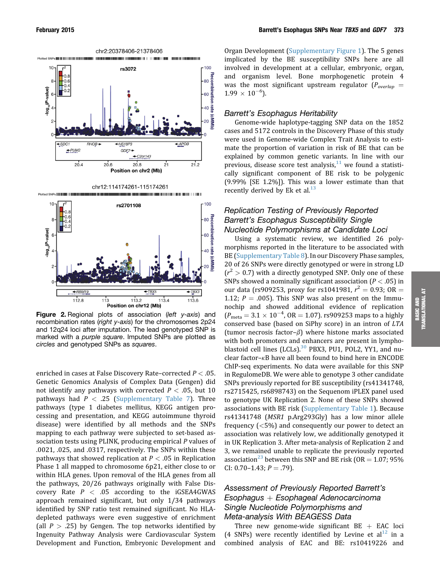<span id="page-8-0"></span>

**Figure 2.** Regional plots of association (left y-axis) and recombination rates (right y-axis) for the chromosomes 2p24 and 12q24 loci after imputation. The lead genotyped SNP is marked with a purple square. Imputed SNPs are plotted as circles and genotyped SNPs as squares.

enriched in cases at False Discovery Rate–corrected  $P < .05$ . Genetic Genomics Analysis of Complex Data (Gengen) did not identify any pathways with corrected  $P < .05$ , but 10 pathways had  $P < .25$  (Supplementary Table 7). Three pathways (type 1 diabetes mellitus, KEGG antigen processing and presentation, and KEGG autoimmune thyroid disease) were identified by all methods and the SNPs mapping to each pathway were subjected to set-based association tests using PLINK, producing empirical P values of .0021, .025, and .0317, respectively. The SNPs within these pathways that showed replication at  $P < .05$  in Replication Phase 1 all mapped to chromosome 6p21, either close to or within HLA genes. Upon removal of the HLA genes from all the pathways, 20/26 pathways originally with False Discovery Rate  $P < .05$  according to the iGSEA4GWAS approach remained significant, but only 1/34 pathways identified by SNP ratio test remained significant. No HLAdepleted pathways were even suggestive of enrichment (all  $P > .25$ ) by Gengen. The top networks identified by Ingenuity Pathway Analysis were Cardiovascular System Development and Function, Embryonic Development and

Organ Development (Supplementary Figure 1). The 5 genes implicated by the BE susceptibility SNPs here are all involved in development at a cellular, embryonic, organ, and organism level. Bone morphogenetic protein 4 was the most significant upstream regulator ( $P_{\text{overlap}} =$  $1.99 \times 10^{-6}$ ).

#### Barrett's Esophagus Heritability

Genome-wide haplotype-tagging SNP data on the 1852 cases and 5172 controls in the Discovery Phase of this study were used in Genome-wide Complex Trait Analysis to estimate the proportion of variation in risk of BE that can be explained by common genetic variants. In line with our previous, disease score test analysis, $11$  we found a statistically significant component of BE risk to be polygenic (9.99% [SE 1.2%]). This was a lower estimate than that recently derived by Ek et al. $^{13}$  $^{13}$  $^{13}$ 

# Replication Testing of Previously Reported Barrett's Esophagus Susceptibility Single Nucleotide Polymorphisms at Candidate Loci

Using a systematic review, we identified 26 polymorphisms reported in the literature to be associated with BE (Supplementary Table 8). In our Discovery Phase samples, 20 of 26 SNPs were directly genotyped or were in strong LD  $(r^2 > 0.7)$  with a directly genotyped SNP. Only one of these SNPs showed a nominally significant association ( $P < .05$ ) in our data (rs909253, proxy for rs1041981,  $r^2 = 0.93$ ; OR = 1.12;  $P = .005$ ). This SNP was also present on the Immunochip and showed additional evidence of replication  $(P_{\text{meta}} = 3.1 \times 10^{-4}, \text{ OR } = 1.07)$ . rs909253 maps to a highly conserved base (based on SiPhy score) in an intron of LTA (tumor necrosis factor– $\beta$ ) where histone marks associated with both promoters and enhancers are present in lymphoblastoid cell lines (LCLs). $30$  PBX3, PU1, POL2, YY1, and nuclear factor- $\kappa$ B have all been found to bind here in ENCODE ChIP-seq experiments. No data were available for this SNP in RegulomeDB. We were able to genotype 3 other candidate SNPs previously reported for BE susceptibility (rs41341748, rs2715425, rs6898743) on the Sequenom iPLEX panel used to genotype UK Replication 2. None of these SNPs showed associations with BE risk (Supplementary Table 1). Because rs41341748 (MSR1 p.Arg293Gly) has a low minor allele frequency (<5%) and consequently our power to detect an association was relatively low, we additionally genotyped it in UK Replication 3. After meta-analysis of Replication 2 and 3, we remained unable to replicate the previously reported association<sup>[23](#page-12-0)</sup> between this SNP and BE risk (OR = 1.07; 95% CI: 0.70-1.43;  $P = .79$ ).

# Assessment of Previously Reported Barrett's  $Esophagus + EsophagedaI Adenocarcinoma$ Single Nucleotide Polymorphisms and Meta-analysis With BEAGESS Data

Three new genome-wide significant  $BE + EAC$  loci (4 SNPs) were recently identified by Levine et al<sup>[12](#page-11-0)</sup> in a combined analysis of EAC and BE: rs10419226 and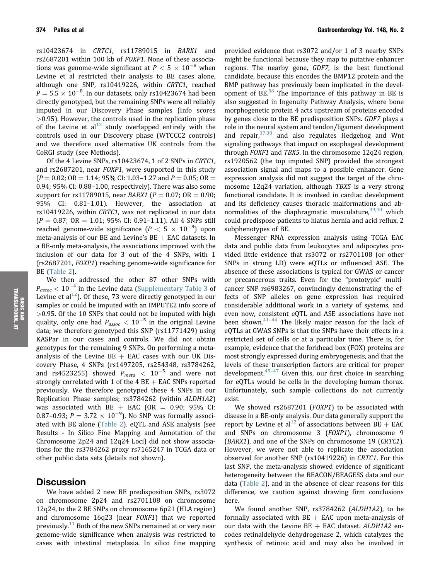rs10423674 in CRTC1, rs11789015 in BARX1 and rs2687201 within 100 kb of FOXP1. None of these associations was genome-wide significant at  $P < 5 \times 10^{-8}$  when Levine et al restricted their analysis to BE cases alone, although one SNP, rs10419226, within CRTC1, reached  $P = 5.5 \times 10^{-8}$ . In our datasets, only rs10423674 had been directly genotyped, but the remaining SNPs were all reliably imputed in our Discovery Phase samples (Info scores >0.95). However, the controls used in the replication phase of the Levine et  $al^{12}$  $al^{12}$  $al^{12}$  study overlapped entirely with the controls used in our Discovery phase (WTCCC2 controls) and we therefore used alternative UK controls from the CoRGI study (see Methods).

Of the 4 Levine SNPs, rs10423674, 1 of 2 SNPs in CRTC1, and rs2687201, near FOXP1, were supported in this study  $(P = 0.02;$  OR = 1.14; 95% CI: 1.03–1.27 and  $P = 0.05;$  OR = 0.94; 95% CI: 0.88–1.00, respectively). There was also some support for rs11789015, near *BARX1* ( $P = 0.07$ ; OR  $= 0.90$ ; 95% CI: 0.81–1.01). However, the association at rs10419226, within CRTC1, was not replicated in our data  $(P = 0.87; OR = 1.01; 95\% CI: 0.91-1.11)$ . All 4 SNPs still reached genome-wide significance  $(P < 5 \times 10^{-8})$  upon meta-analysis of our BE and Levine's  $BE + EAC$  datasets. In a BE-only meta-analysis, the associations improved with the inclusion of our data for 3 out of the 4 SNPs, with 1 (rs2687201, FOXP1) reaching genome-wide significance for BE ([Table 2](#page-10-0)).

We then addressed the other 87 other SNPs with  $P_{assoc}$  < 10<sup>-4</sup> in the Levine data (Supplementary Table 3 of Levine et al<sup>12</sup>). Of these, 73 were directly genotyped in our samples or could be imputed with an IMPUTE2 info score of >0.95. Of the 10 SNPs that could not be imputed with high quality, only one had  $P_{assoc} < 10^{-5}$  in the original Levine data; we therefore genotyped this SNP (rs11771429) using KASPar in our cases and controls. We did not obtain genotypes for the remaining 9 SNPs. On performing a metaanalysis of the Levine  $BE + EAC$  cases with our UK Discovery Phase, 4 SNPs (rs1497205, rs254348, rs3784262, and rs4523255) showed  $P_{meta} < 10^{-5}$  and were not strongly correlated with 1 of the  $4 BE + EAC$  SNPs reported previously. We therefore genotyped these 4 SNPs in our Replication Phase samples; rs3784262 (within ALDH1A2) was associated with  $BE + EAC$  (OR = 0.90; 95% CI: 0.87–0.93;  $P = 3.72 \times 10^{-9}$ ). No SNP was formally associated with BE alone [\(Table 2\)](#page-10-0). eQTL and ASE analysis (see Results - In Silico Fine Mapping and Annotation of the Chromosome 2p24 and 12q24 Loci) did not show associations for the rs3784262 proxy rs7165247 in TCGA data or other public data sets (details not shown).

#### **Discussion**

We have added 2 new BE predisposition SNPs, rs3072 on chromosome 2p24 and rs2701108 on chromosome 12q24, to the 2 BE SNPs on chromosome 6p21 (HLA region) and chromosome 16q23 (near FOXF1) that we reported previously.<sup>11</sup> Both of the new SNPs remained at or very near genome-wide significance when analysis was restricted to cases with intestinal metaplasia. In silico fine mapping provided evidence that rs3072 and/or 1 of 3 nearby SNPs might be functional because they map to putative enhancer regions. The nearby gene, GDF7, is the best functional candidate, because this encodes the BMP12 protein and the BMP pathway has previously been implicated in the development of BE. $36$  The importance of this pathway in BE is also suggested in Ingenuity Pathway Analysis, where bone morphogenetic protein 4 acts upstream of proteins encoded by genes close to the BE predisposition SNPs. GDF7 plays a role in the neural system and tendon/ligament development and repair,  $37,38$  and also regulates Hedgehog and Wnt signaling pathways that impact on esophageal development through FOXF1 and TBX5. In the chromosome 12q24 region, rs1920562 (the top imputed SNP) provided the strongest association signal and maps to a possible enhancer. Gene expression analysis did not suggest the target of the chromosome 12q24 variation, although TBX5 is a very strong functional candidate. It is involved in cardiac development and its deficiency causes thoracic malformations and ab-normalities of the diaphragmatic musculature,<sup>[39,40](#page-12-0)</sup> which could predispose patients to hiatus hernia and acid reflux, 2 subphenotypes of BE.

Messenger RNA expression analysis using TCGA EAC data and public data from leukocytes and adipocytes provided little evidence that rs3072 or rs2701108 (or other SNPs in strong LD) were eQTLs or influenced ASE. The absence of these associations is typical for GWAS or cancer or precancerous traits. Even for the "prototypic" multicancer SNP rs6983267, convincingly demonstrating the effects of SNP alleles on gene expression has required considerable additional work in a variety of systems, and even now, consistent eQTL and ASE associations have not been shown. $41-44$  $41-44$  $41-44$  The likely major reason for the lack of eQTLs at GWAS SNPs is that the SNPs have their effects in a restricted set of cells or at a particular time. There is, for example, evidence that the forkhead box (FOX) proteins are most strongly expressed during embryogenesis, and that the levels of these transcription factors are critical for proper development. $45-47$  $45-47$  $45-47$  Given this, our first choice in searching for eQTLs would be cells in the developing human thorax. Unfortunately, such sample collections do not currently exist.

We showed rs2687201 (FOXP1) to be associated with disease in a BE-only analysis. Our data generally support the report by Levine et al<sup>[12](#page-11-0)</sup> of associations between  $BE + EAC$ and SNPs on chromosome 3 (FOXP1), chromosome 9 (BARX1), and one of the SNPs on chromosome 19 (CRTC1). However, we were not able to replicate the association observed for another SNP (rs10419226) in CRTC1. For this last SNP, the meta-analysis showed evidence of significant heterogeneity between the BEACON/BEAGESS data and our data [\(Table 2\)](#page-10-0), and in the absence of clear reasons for this difference, we caution against drawing firm conclusions here.

We found another SNP, rs3784262 (ALDH1A2), to be formally associated with  $BE + EAC$  upon meta-analysis of our data with the Levine  $BE + EAC$  dataset. ALDH1A2 encodes retinaldehyde dehydrogenase 2, which catalyzes the synthesis of retinoic acid and may also be involved in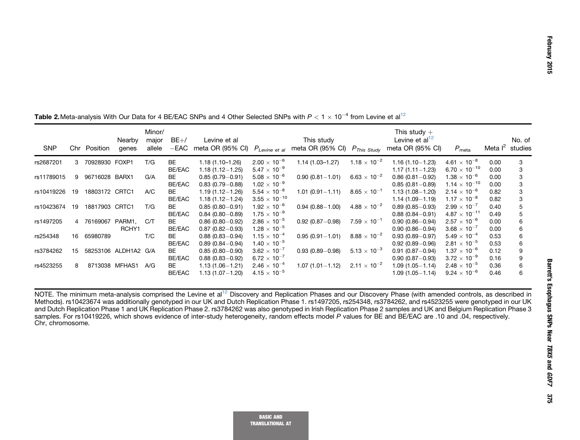| <b>SNP</b> |    | Chr Position   | Nearby<br>genes      | Minor/<br>major<br>allele | $BE+/$<br>$-{\sf EAC}$ | Levine et al<br>meta OR (95% CI) | $P_{Levine}$ et al     | This study<br>meta OR (95% CI) | $P_{This\ Study}$     | This study $+$<br>Levine et $al12$<br>meta OR (95% CI) | $P_{\text{meta}}$      | Meta $I^2$ | No. of<br>studies |
|------------|----|----------------|----------------------|---------------------------|------------------------|----------------------------------|------------------------|--------------------------------|-----------------------|--------------------------------------------------------|------------------------|------------|-------------------|
| rs2687201  | 3  | 70928930 FOXP1 |                      | T/G                       | <b>BE</b>              | $1.18(1.10-1.26)$                | $2.00 \times 10^{-6}$  | $1.14(1.03 - 1.27)$            | $1.18 \times 10^{-2}$ | $1.16(1.10 - 1.23)$                                    | $4.61 \times 10^{-8}$  | 0.00       |                   |
|            |    |                |                      |                           | BE/EAC                 | $1.18(1.12 - 1.25)$              | $5.47 \times 10^{-9}$  |                                |                       | $1.17(1.11 - 1.23)$                                    | $6.70 \times 10^{-10}$ | 0.00       |                   |
| rs11789015 | 9  | 96716028 BARX1 |                      | G/A                       | <b>BE</b>              | $0.85(0.79 - 0.91)$              | $5.08 \times 10^{-6}$  | $0.90(0.81 - 1.01)$            | $6.63 \times 10^{-2}$ | $0.86(0.81 - 0.92)$                                    | $1.38 \times 10^{-6}$  | 0.00       |                   |
|            |    |                |                      |                           | BE/EAC                 | $0.83(0.79 - 0.88)$              | $1.02 \times 10^{-9}$  |                                |                       | $0.85(0.81 - 0.89)$                                    | $1.14 \times 10^{-10}$ | 0.00       | 3                 |
| rs10419226 | 19 | 18803172 CRTC1 |                      | A/C                       | BE                     | $1.19(1.12 - 1.26)$              | $5.54 \times 10^{-8}$  | $1.01(0.91 - 1.11)$            | $8.65 \times 10^{-1}$ | $1.13(1.08 - 1.20)$                                    | $2.14 \times 10^{-6}$  | 0.82       |                   |
|            |    |                |                      |                           | BE/EAC                 | $1.18(1.12 - 1.24)$              | $3.55 \times 10^{-10}$ |                                |                       | $1.14(1.09 - 1.19)$                                    | $1.17 \times 10^{-8}$  | 0.82       |                   |
| rs10423674 | 19 | 18817903 CRTC1 |                      | T/G                       | <b>BE</b>              | $0.85(0.80 - 0.91)$              | $1.92 \times 10^{-6}$  | $0.94(0.88 - 1.00)$            | $4.88 \times 10^{-2}$ | $0.89(0.85 - 0.93)$                                    | $2.99 \times 10^{-7}$  | 0.40       |                   |
|            |    |                |                      |                           | BE/EAC                 | $0.84(0.80 - 0.89)$              | $1.75 \times 10^{-9}$  |                                |                       | $0.88(0.84 - 0.91)$                                    | $4.87 \times 10^{-11}$ | 0.49       |                   |
| rs1497205  |    | 4 76169067     | PARM1.               | CЛ                        | BE                     | $0.86(0.80 - 0.92)$              | $2.86 \times 10^{-5}$  | $0.92(0.87 - 0.98)$            | $7.59 \times 10^{-1}$ | $0.90(0.86 - 0.94)$                                    | $2.57 \times 10^{-6}$  | 0.00       | 6                 |
|            |    |                | RCHY1                |                           | BE/EAC                 | $0.87(0.82 - 0.93)$              | $1.28 \times 10^{-5}$  |                                |                       | $0.90(0.86 - 0.94)$                                    | $3.68 \times 10^{-7}$  | 0.00       |                   |
| rs254348   | 16 | 65980789       |                      | T/C                       | <b>BE</b>              | $0.88(0.83 - 0.94)$              | $1.15 \times 10^{-4}$  | $0.95(0.91 - 1.01)$            | $8.88 \times 10^{-2}$ | $0.93(0.89 - 0.97)$                                    | $5.49 \times 10^{-4}$  | 0.53       | 6                 |
|            |    |                |                      |                           | BE/EAC                 | $0.89(0.84 - 0.94)$              | $1.40 \times 10^{-5}$  |                                |                       | $0.92(0.89 - 0.96)$                                    | $2.81 \times 10^{-5}$  | 0.53       |                   |
| rs3784262  | 15 |                | 58253106 ALDH1A2 G/A |                           | <b>BE</b>              | $0.85(0.80 - 0.90)$              | $3.62 \times 10^{-7}$  | $0.93(0.89 - 0.98)$            | $5.13 \times 10^{-3}$ | $0.91(0.87 - 0.94)$                                    | $1.37 \times 10^{-6}$  | 0.12       |                   |
|            |    |                |                      |                           | BE/EAC                 | $0.88(0.83 - 0.92)$              | $6.72 \times 10^{-7}$  |                                |                       | $0.90(0.87 - 0.93)$                                    | $3.72 \times 10^{-9}$  | 0.16       |                   |
| rs4523255  | 8  |                | 8713038 MFHAS1       | A/G                       | <b>BE</b>              | $1.13(1.06 - 1.21)$              | $2.46 \times 10^{-4}$  | $1.07(1.01 - 1.12)$            | $2.11 \times 10^{-2}$ | $1.09(1.05 - 1.14)$                                    | $2.48 \times 10^{-5}$  | 0.36       | 6                 |
|            |    |                |                      |                           | BE/EAC                 | $1.13(1.07 - 1.20)$              | $4.15 \times 10^{-5}$  |                                |                       | $1.09(1.05 - 1.14)$                                    | $9.24 \times 10^{-6}$  | 0.46       | 6                 |

<span id="page-10-0"></span>Table 2.Meta-analysis With Our Data for 4 BE/EAC SNPs and 4 Other Selected SNPs with  $P < 1 \times 10^{-4}$  from Levine et al<sup>[12](#page-11-0)</sup>

NOTE. The minimum meta-analysis comprised the Levine et al<sup>[12](#page-11-0)</sup> Discovery and Replication Phases and our Discovery Phase (with amended controls, as described in Methods). rs10423674 was additionally genotyped in our UK and Dutch Replication Phase 1. rs1497205, rs254348, rs3784262, and rs4523255 were genotyped in our UK and Dutch Replication Phase 1 and UK Replication Phase 2. rs3784262 was also genotyped in Irish Replication Phase 2 samples and UK and Belgium Replication Phase 3 samples. For rs10419226, which shows evidence of inter-study heterogeneity, random effects model P values for BE and BE/EAC are .10 and .04, respectively. Chr, chromosome.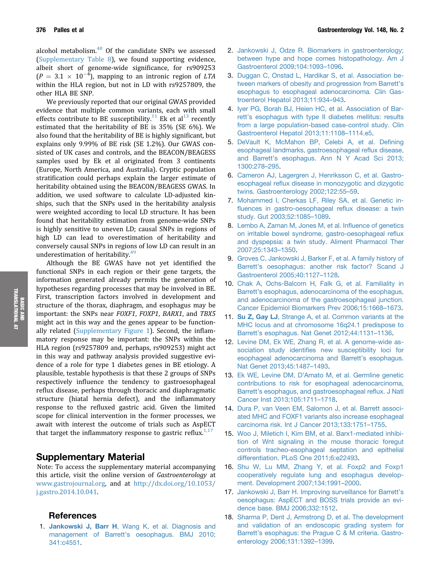<span id="page-11-0"></span>alcohol metabolism.<sup>[48](#page-12-0)</sup> Of the candidate SNPs we assessed (Supplementary Table 8), we found supporting evidence, albeit short of genome-wide significance, for rs909253  $(P = 3.1 \times 10^{-4})$ , mapping to an intronic region of LTA within the HLA region, but not in LD with rs9257809, the other HLA BE SNP.

We previously reported that our original GWAS provided evidence that multiple common variants, each with small effects contribute to BE susceptibility.<sup>11</sup> Ek et al<sup>13</sup> recently estimated that the heritability of BE is 35% (SE 6%). We also found that the heritability of BE is highly significant, but explains only 9.99% of BE risk (SE 1.2%). Our GWAS consisted of UK cases and controls, and the BEACON/BEAGESS samples used by Ek et al originated from 3 continents (Europe, North America, and Australia). Cryptic population stratification could perhaps explain the larger estimate of heritability obtained using the BEACON/BEAGESS GWAS. In addition, we used software to calculate LD-adjusted kinships, such that the SNPs used in the heritability analysis were weighted according to local LD structure. It has been found that heritability estimation from genome-wide SNPs is highly sensitive to uneven LD; causal SNPs in regions of high LD can lead to overestimation of heritability and conversely causal SNPs in regions of low LD can result in an underestimation of heritability.<sup>[49](#page-12-0)</sup>

Although the BE GWAS have not yet identified the functional SNPs in each region or their gene targets, the information generated already permits the generation of hypotheses regarding processes that may be involved in BE. First, transcription factors involved in development and structure of the thorax, diaphragm, and esophagus may be important: the SNPs near FOXF1, FOXP1, BARX1, and TBX5 might act in this way and the genes appear to be functionally related (Supplementary Figure 1). Second, the inflammatory response may be important: the SNPs within the HLA region (rs9257809 and, perhaps, rs909253) might act in this way and pathway analysis provided suggestive evidence of a role for type 1 diabetes genes in BE etiology. A plausible, testable hypothesis is that these 2 groups of SNPs respectively influence the tendency to gastroesophageal reflux disease, perhaps through thoracic and diaphragmatic structure (hiatal hernia defect), and the inflammatory response to the refluxed gastric acid. Given the limited scope for clinical intervention in the former processes, we await with interest the outcome of trials such as AspECT that target the inflammatory response to gastric reflux.<sup>1,17</sup>

# Supplementary Material

Note: To access the supplementary material accompanying this article, visit the online version of Gastroenterology at [www.gastrojournal.org,](http://www.gastrojournal.org) and at [http://dx.doi.org/10.1053/](http://dx.doi.org/10.1053/j.gastro.2014.10.041) [j.gastro.2014.10.041](http://dx.doi.org/10.1053/j.gastro.2014.10.041).

#### References

1. Jankowski J, Barr H[, Wang K, et al. Diagnosis and](http://refhub.elsevier.com/S0016-5085(14)01334-1/sref1) management of Barrett'[s oesophagus. BMJ 2010;](http://refhub.elsevier.com/S0016-5085(14)01334-1/sref1) [341:c4551](http://refhub.elsevier.com/S0016-5085(14)01334-1/sref1).

- 2. [Jankowski J, Odze R. Biomarkers in gastroenterology;](http://refhub.elsevier.com/S0016-5085(14)01334-1/sref2) [between hype and hope comes histopathology. Am J](http://refhub.elsevier.com/S0016-5085(14)01334-1/sref2) [Gastroenterol 2009;104:1093](http://refhub.elsevier.com/S0016-5085(14)01334-1/sref2)–[1096](http://refhub.elsevier.com/S0016-5085(14)01334-1/sref2).
- 3. [Duggan C, Onstad L, Hardikar S, et al. Association be](http://refhub.elsevier.com/S0016-5085(14)01334-1/sref3)[tween markers of obesity and progression from Barrett](http://refhub.elsevier.com/S0016-5085(14)01334-1/sref3)'s [esophagus to esophageal adenocarcinoma. Clin Gas](http://refhub.elsevier.com/S0016-5085(14)01334-1/sref3)[troenterol Hepatol 2013;11:934](http://refhub.elsevier.com/S0016-5085(14)01334-1/sref3)–[943](http://refhub.elsevier.com/S0016-5085(14)01334-1/sref3).
- 4. [Iyer PG, Borah BJ, Heien HC, et al. Association of Bar](http://refhub.elsevier.com/S0016-5085(14)01334-1/sref4)rett'[s esophagus with type II diabetes mellitus: results](http://refhub.elsevier.com/S0016-5085(14)01334-1/sref4) [from a large population-based case-control study. Clin](http://refhub.elsevier.com/S0016-5085(14)01334-1/sref4) [Gastroenterol Hepatol 2013;11:1108](http://refhub.elsevier.com/S0016-5085(14)01334-1/sref4)–[1114.e5](http://refhub.elsevier.com/S0016-5085(14)01334-1/sref4).
- 5. [DeVault K, McMahon BP, Celebi A, et al. De](http://refhub.elsevier.com/S0016-5085(14)01334-1/sref5)fining [esophageal landmarks, gastroesophageal re](http://refhub.elsevier.com/S0016-5085(14)01334-1/sref5)flux disease, and Barrett'[s esophagus. Ann N Y Acad Sci 2013;](http://refhub.elsevier.com/S0016-5085(14)01334-1/sref5) [1300:278](http://refhub.elsevier.com/S0016-5085(14)01334-1/sref5)–[295.](http://refhub.elsevier.com/S0016-5085(14)01334-1/sref5)
- 6. [Cameron AJ, Lagergren J, Henriksson C, et al. Gastro](http://refhub.elsevier.com/S0016-5085(14)01334-1/sref6)esophageal refl[ux disease in monozygotic and dizygotic](http://refhub.elsevier.com/S0016-5085(14)01334-1/sref6) [twins. Gastroenterology 2002;122:55](http://refhub.elsevier.com/S0016-5085(14)01334-1/sref6)–[59](http://refhub.elsevier.com/S0016-5085(14)01334-1/sref6).
- 7. [Mohammed I, Cherkas LF, Riley SA, et al. Genetic in](http://refhub.elsevier.com/S0016-5085(14)01334-1/sref7)fl[uences in gastro-oesophageal re](http://refhub.elsevier.com/S0016-5085(14)01334-1/sref7)flux disease: a twin [study. Gut 2003;52:1085](http://refhub.elsevier.com/S0016-5085(14)01334-1/sref7)–[1089.](http://refhub.elsevier.com/S0016-5085(14)01334-1/sref7)
- 8. [Lembo A, Zaman M, Jones M, et al. In](http://refhub.elsevier.com/S0016-5085(14)01334-1/sref8)fluence of genetics [on irritable bowel syndrome, gastro-oesophageal re](http://refhub.elsevier.com/S0016-5085(14)01334-1/sref8)flux [and dyspepsia: a twin study. Aliment Pharmacol Ther](http://refhub.elsevier.com/S0016-5085(14)01334-1/sref8) [2007;25:1343](http://refhub.elsevier.com/S0016-5085(14)01334-1/sref8)–[1350](http://refhub.elsevier.com/S0016-5085(14)01334-1/sref8).
- 9. [Groves C, Jankowski J, Barker F, et al. A family history of](http://refhub.elsevier.com/S0016-5085(14)01334-1/sref9) Barrett'[s oesophagus: another risk factor? Scand J](http://refhub.elsevier.com/S0016-5085(14)01334-1/sref9) [Gastroenterol 2005;40:1127](http://refhub.elsevier.com/S0016-5085(14)01334-1/sref9)–[1128](http://refhub.elsevier.com/S0016-5085(14)01334-1/sref9).
- 10. [Chak A, Ochs-Balcom H, Falk G, et al. Familiality in](http://refhub.elsevier.com/S0016-5085(14)01334-1/sref10) Barrett'[s esophagus, adenocarcinoma of the esophagus,](http://refhub.elsevier.com/S0016-5085(14)01334-1/sref10) [and adenocarcinoma of the gastroesophageal junction.](http://refhub.elsevier.com/S0016-5085(14)01334-1/sref10) [Cancer Epidemiol Biomarkers Prev 2006;15:1668](http://refhub.elsevier.com/S0016-5085(14)01334-1/sref10)–[1673.](http://refhub.elsevier.com/S0016-5085(14)01334-1/sref10)
- 11. Su Z, Gay LJ[, Strange A, et al. Common variants at the](http://refhub.elsevier.com/S0016-5085(14)01334-1/sref11) [MHC locus and at chromosome 16q24.1 predispose to](http://refhub.elsevier.com/S0016-5085(14)01334-1/sref11) Barrett'[s esophagus. Nat Genet 2012;44:1131](http://refhub.elsevier.com/S0016-5085(14)01334-1/sref11)–[1136](http://refhub.elsevier.com/S0016-5085(14)01334-1/sref11).
- 12. [Levine DM, Ek WE, Zhang R, et al. A genome-wide as](http://refhub.elsevier.com/S0016-5085(14)01334-1/sref12)sociation study identifi[es new susceptibility loci for](http://refhub.elsevier.com/S0016-5085(14)01334-1/sref12) [esophageal adenocarcinoma and Barrett](http://refhub.elsevier.com/S0016-5085(14)01334-1/sref12)'s esophagus. [Nat Genet 2013;45:1487](http://refhub.elsevier.com/S0016-5085(14)01334-1/sref12)–[1493.](http://refhub.elsevier.com/S0016-5085(14)01334-1/sref12)
- 13. Ek WE, Levine DM, D'[Amato M, et al. Germline genetic](http://refhub.elsevier.com/S0016-5085(14)01334-1/sref13) [contributions to risk for esophageal adenocarcinoma,](http://refhub.elsevier.com/S0016-5085(14)01334-1/sref13) Barrett'[s esophagus, and gastroesophageal re](http://refhub.elsevier.com/S0016-5085(14)01334-1/sref13)flux. J Natl [Cancer Inst 2013;105:1711](http://refhub.elsevier.com/S0016-5085(14)01334-1/sref13)–[1718.](http://refhub.elsevier.com/S0016-5085(14)01334-1/sref13)
- 14. [Dura P, van Veen EM, Salomon J, et al. Barrett associ](http://refhub.elsevier.com/S0016-5085(14)01334-1/sref14)[ated MHC and FOXF1 variants also increase esophageal](http://refhub.elsevier.com/S0016-5085(14)01334-1/sref14) [carcinoma risk. Int J Cancer 2013;133:1751](http://refhub.elsevier.com/S0016-5085(14)01334-1/sref14)–[1755.](http://refhub.elsevier.com/S0016-5085(14)01334-1/sref14)
- 15. [Woo J, Miletich I, Kim BM, et al. Barx1-mediated inhibi](http://refhub.elsevier.com/S0016-5085(14)01334-1/sref15)[tion of Wnt signaling in the mouse thoracic foregut](http://refhub.elsevier.com/S0016-5085(14)01334-1/sref15) [controls tracheo-esophageal septation and epithelial](http://refhub.elsevier.com/S0016-5085(14)01334-1/sref15) [differentiation. PLoS One 2011;6:e22493](http://refhub.elsevier.com/S0016-5085(14)01334-1/sref15).
- 16. [Shu W, Lu MM, Zhang Y, et al. Foxp2 and Foxp1](http://refhub.elsevier.com/S0016-5085(14)01334-1/sref16) [cooperatively regulate lung and esophagus develop](http://refhub.elsevier.com/S0016-5085(14)01334-1/sref16)[ment. Development 2007;134:1991](http://refhub.elsevier.com/S0016-5085(14)01334-1/sref16)–[2000](http://refhub.elsevier.com/S0016-5085(14)01334-1/sref16).
- 17. [Jankowski J, Barr H. Improving surveillance for Barrett](http://refhub.elsevier.com/S0016-5085(14)01334-1/sref17)'s [oesophagus: AspECT and BOSS trials provide an evi](http://refhub.elsevier.com/S0016-5085(14)01334-1/sref17)[dence base. BMJ 2006;332:1512](http://refhub.elsevier.com/S0016-5085(14)01334-1/sref17).
- 18. [Sharma P, Dent J, Armstrong D, et al. The development](http://refhub.elsevier.com/S0016-5085(14)01334-1/sref18) [and validation of an endoscopic grading system for](http://refhub.elsevier.com/S0016-5085(14)01334-1/sref18) Barrett'[s esophagus: the Prague C & M criteria. Gastro](http://refhub.elsevier.com/S0016-5085(14)01334-1/sref18)[enterology 2006;131:1392](http://refhub.elsevier.com/S0016-5085(14)01334-1/sref18)–[1399.](http://refhub.elsevier.com/S0016-5085(14)01334-1/sref18)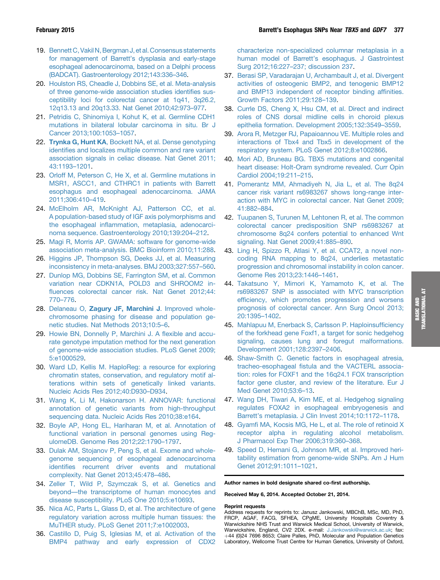- <span id="page-12-0"></span>19. [Bennett C, Vakil N, Bergman J, et al. Consensus statements](http://refhub.elsevier.com/S0016-5085(14)01334-1/sref19) for management of Barrett'[s dysplasia and early-stage](http://refhub.elsevier.com/S0016-5085(14)01334-1/sref19) [esophageal adenocarcinoma, based on a Delphi process](http://refhub.elsevier.com/S0016-5085(14)01334-1/sref19) [\(BADCAT\). Gastroenterology 2012;143:336](http://refhub.elsevier.com/S0016-5085(14)01334-1/sref19)–[346](http://refhub.elsevier.com/S0016-5085(14)01334-1/sref19).
- 20. [Houlston RS, Cheadle J, Dobbins SE, et al. Meta-analysis](http://refhub.elsevier.com/S0016-5085(14)01334-1/sref20) [of three genome-wide association studies identi](http://refhub.elsevier.com/S0016-5085(14)01334-1/sref20)fies sus[ceptibility loci for colorectal cancer at 1q41, 3q26.2,](http://refhub.elsevier.com/S0016-5085(14)01334-1/sref20) [12q13.13 and 20q13.33. Nat Genet 2010;42:973](http://refhub.elsevier.com/S0016-5085(14)01334-1/sref20)–[977](http://refhub.elsevier.com/S0016-5085(14)01334-1/sref20).
- 21. [Petridis C, Shinomiya I, Kohut K, et al. Germline CDH1](http://refhub.elsevier.com/S0016-5085(14)01334-1/sref21) [mutations in bilateral lobular carcinoma in situ. Br J](http://refhub.elsevier.com/S0016-5085(14)01334-1/sref21) [Cancer 2013;100:1053](http://refhub.elsevier.com/S0016-5085(14)01334-1/sref21)–[1057](http://refhub.elsevier.com/S0016-5085(14)01334-1/sref21).
- 22. Trynka G, Hunt KA[, Bockett NA, et al. Dense genotyping](http://refhub.elsevier.com/S0016-5085(14)01334-1/sref22) identifi[es and localizes multiple common and rare variant](http://refhub.elsevier.com/S0016-5085(14)01334-1/sref22) [association signals in celiac disease. Nat Genet 2011;](http://refhub.elsevier.com/S0016-5085(14)01334-1/sref22) [43:1193](http://refhub.elsevier.com/S0016-5085(14)01334-1/sref22)–[1201.](http://refhub.elsevier.com/S0016-5085(14)01334-1/sref22)
- 23. [Orloff M, Peterson C, He X, et al. Germline mutations in](http://refhub.elsevier.com/S0016-5085(14)01334-1/sref23) [MSR1, ASCC1, and CTHRC1 in patients with Barrett](http://refhub.elsevier.com/S0016-5085(14)01334-1/sref23) [esophagus and esophageal adenocarcinoma. JAMA](http://refhub.elsevier.com/S0016-5085(14)01334-1/sref23) [2011;306:410](http://refhub.elsevier.com/S0016-5085(14)01334-1/sref23)–[419](http://refhub.elsevier.com/S0016-5085(14)01334-1/sref23).
- 24. [McElholm AR, McKnight AJ, Patterson CC, et al.](http://refhub.elsevier.com/S0016-5085(14)01334-1/sref24) [A population-based study of IGF axis polymorphisms and](http://refhub.elsevier.com/S0016-5085(14)01334-1/sref24) the esophageal infl[ammation, metaplasia, adenocarci](http://refhub.elsevier.com/S0016-5085(14)01334-1/sref24)[noma sequence. Gastroenterology 2010;139:204](http://refhub.elsevier.com/S0016-5085(14)01334-1/sref24)–[212.](http://refhub.elsevier.com/S0016-5085(14)01334-1/sref24)
- 25. [Magi R, Morris AP. GWAMA: software for genome-wide](http://refhub.elsevier.com/S0016-5085(14)01334-1/sref25) [association meta-analysis. BMC Bioinform 2010;11:288.](http://refhub.elsevier.com/S0016-5085(14)01334-1/sref25)
- 26. [Higgins JP, Thompson SG, Deeks JJ, et al. Measuring](http://refhub.elsevier.com/S0016-5085(14)01334-1/sref26) [inconsistency in meta-analyses. BMJ 2003;327:557](http://refhub.elsevier.com/S0016-5085(14)01334-1/sref26)–[560.](http://refhub.elsevier.com/S0016-5085(14)01334-1/sref26)
- 27. [Dunlop MG, Dobbins SE, Farrington SM, et al. Common](http://refhub.elsevier.com/S0016-5085(14)01334-1/sref27) [variation near CDKN1A, POLD3 and SHROOM2 in](http://refhub.elsevier.com/S0016-5085(14)01334-1/sref27)fl[uences colorectal cancer risk. Nat Genet 2012;44:](http://refhub.elsevier.com/S0016-5085(14)01334-1/sref27) [770](http://refhub.elsevier.com/S0016-5085(14)01334-1/sref27)–[776.](http://refhub.elsevier.com/S0016-5085(14)01334-1/sref27)
- 28. Delaneau O, [Zagury JF, Marchini J](http://refhub.elsevier.com/S0016-5085(14)01334-1/sref28). Improved whole[chromosome phasing for disease and population ge](http://refhub.elsevier.com/S0016-5085(14)01334-1/sref28)[netic studies. Nat Methods 2013;10:5](http://refhub.elsevier.com/S0016-5085(14)01334-1/sref28)–[6.](http://refhub.elsevier.com/S0016-5085(14)01334-1/sref28)
- 29. [Howie BN, Donnelly P, Marchini J. A](http://refhub.elsevier.com/S0016-5085(14)01334-1/sref29) flexible and accu[rate genotype imputation method for the next generation](http://refhub.elsevier.com/S0016-5085(14)01334-1/sref29) [of genome-wide association studies. PLoS Genet 2009;](http://refhub.elsevier.com/S0016-5085(14)01334-1/sref29) [5:e1000529](http://refhub.elsevier.com/S0016-5085(14)01334-1/sref29).
- 30. [Ward LD, Kellis M. HaploReg: a resource for exploring](http://refhub.elsevier.com/S0016-5085(14)01334-1/sref30) [chromatin states, conservation, and regulatory motif al](http://refhub.elsevier.com/S0016-5085(14)01334-1/sref30)[terations within sets of genetically linked variants.](http://refhub.elsevier.com/S0016-5085(14)01334-1/sref30) [Nucleic Acids Res 2012;40:D930](http://refhub.elsevier.com/S0016-5085(14)01334-1/sref30)–[D934.](http://refhub.elsevier.com/S0016-5085(14)01334-1/sref30)
- 31. [Wang K, Li M, Hakonarson H. ANNOVAR: functional](http://refhub.elsevier.com/S0016-5085(14)01334-1/sref31) [annotation of genetic variants from high-throughput](http://refhub.elsevier.com/S0016-5085(14)01334-1/sref31) [sequencing data. Nucleic Acids Res 2010;38:e164](http://refhub.elsevier.com/S0016-5085(14)01334-1/sref31).
- 32. [Boyle AP, Hong EL, Hariharan M, et al. Annotation of](http://refhub.elsevier.com/S0016-5085(14)01334-1/sref32) [functional variation in personal genomes using Reg](http://refhub.elsevier.com/S0016-5085(14)01334-1/sref32)[ulomeDB. Genome Res 2012;22:1790](http://refhub.elsevier.com/S0016-5085(14)01334-1/sref32)–[1797](http://refhub.elsevier.com/S0016-5085(14)01334-1/sref32).
- 33. [Dulak AM, Stojanov P, Peng S, et al. Exome and whole](http://refhub.elsevier.com/S0016-5085(14)01334-1/sref33)[genome sequencing of esophageal adenocarcinoma](http://refhub.elsevier.com/S0016-5085(14)01334-1/sref33) identifi[es recurrent driver events and mutational](http://refhub.elsevier.com/S0016-5085(14)01334-1/sref33) [complexity. Nat Genet 2013;45:478](http://refhub.elsevier.com/S0016-5085(14)01334-1/sref33)–[486.](http://refhub.elsevier.com/S0016-5085(14)01334-1/sref33)
- 34. [Zeller T, Wild P, Szymczak S, et al. Genetics and](http://refhub.elsevier.com/S0016-5085(14)01334-1/sref34) [beyond](http://refhub.elsevier.com/S0016-5085(14)01334-1/sref34)—[the transcriptome of human monocytes and](http://refhub.elsevier.com/S0016-5085(14)01334-1/sref34) [disease susceptibility. PLoS One 2010;5:e10693](http://refhub.elsevier.com/S0016-5085(14)01334-1/sref34).
- 35. [Nica AC, Parts L, Glass D, et al. The architecture of gene](http://refhub.elsevier.com/S0016-5085(14)01334-1/sref35) [regulatory variation across multiple human tissues: the](http://refhub.elsevier.com/S0016-5085(14)01334-1/sref35) [MuTHER study. PLoS Genet 2011;7:e1002003](http://refhub.elsevier.com/S0016-5085(14)01334-1/sref35).
- 36. [Castillo D, Puig S, Iglesias M, et al. Activation of the](http://refhub.elsevier.com/S0016-5085(14)01334-1/sref36) [BMP4 pathway and early expression of CDX2](http://refhub.elsevier.com/S0016-5085(14)01334-1/sref36)

[characterize non-specialized columnar metaplasia in a](http://refhub.elsevier.com/S0016-5085(14)01334-1/sref36) human model of Barrett'[s esophagus. J Gastrointest](http://refhub.elsevier.com/S0016-5085(14)01334-1/sref36) [Surg 2012;16:227](http://refhub.elsevier.com/S0016-5085(14)01334-1/sref36)–[237; discussion 237](http://refhub.elsevier.com/S0016-5085(14)01334-1/sref36).

- 37. [Berasi SP, Varadarajan U, Archambault J, et al. Divergent](http://refhub.elsevier.com/S0016-5085(14)01334-1/sref37) [activities of osteogenic BMP2, and tenogenic BMP12](http://refhub.elsevier.com/S0016-5085(14)01334-1/sref37) [and BMP13 independent of receptor binding af](http://refhub.elsevier.com/S0016-5085(14)01334-1/sref37)finities. [Growth Factors 2011;29:128](http://refhub.elsevier.com/S0016-5085(14)01334-1/sref37)–[139](http://refhub.elsevier.com/S0016-5085(14)01334-1/sref37).
- 38. [Currle DS, Cheng X, Hsu CM, et al. Direct and indirect](http://refhub.elsevier.com/S0016-5085(14)01334-1/sref38) [roles of CNS dorsal midline cells in choroid plexus](http://refhub.elsevier.com/S0016-5085(14)01334-1/sref38) [epithelia formation. Development 2005;132:3549](http://refhub.elsevier.com/S0016-5085(14)01334-1/sref38)–[3559.](http://refhub.elsevier.com/S0016-5085(14)01334-1/sref38)
- 39. [Arora R, Metzger RJ, Papaioannou VE. Multiple roles and](http://refhub.elsevier.com/S0016-5085(14)01334-1/sref39) [interactions of Tbx4 and Tbx5 in development of the](http://refhub.elsevier.com/S0016-5085(14)01334-1/sref39) [respiratory system. PLoS Genet 2012;8:e1002866](http://refhub.elsevier.com/S0016-5085(14)01334-1/sref39).
- 40. [Mori AD, Bruneau BG. TBX5 mutations and congenital](http://refhub.elsevier.com/S0016-5085(14)01334-1/sref40) [heart disease: Holt-Oram syndrome revealed. Curr Opin](http://refhub.elsevier.com/S0016-5085(14)01334-1/sref40) [Cardiol 2004;19:211](http://refhub.elsevier.com/S0016-5085(14)01334-1/sref40)–[215](http://refhub.elsevier.com/S0016-5085(14)01334-1/sref40).
- 41. [Pomerantz MM, Ahmadiyeh N, Jia L, et al. The 8q24](http://refhub.elsevier.com/S0016-5085(14)01334-1/sref41) [cancer risk variant rs6983267 shows long-range inter](http://refhub.elsevier.com/S0016-5085(14)01334-1/sref41)[action with MYC in colorectal cancer. Nat Genet 2009;](http://refhub.elsevier.com/S0016-5085(14)01334-1/sref41) [41:882](http://refhub.elsevier.com/S0016-5085(14)01334-1/sref41)–[884.](http://refhub.elsevier.com/S0016-5085(14)01334-1/sref41)
- 42. [Tuupanen S, Turunen M, Lehtonen R, et al. The common](http://refhub.elsevier.com/S0016-5085(14)01334-1/sref42) [colorectal cancer predisposition SNP rs6983267 at](http://refhub.elsevier.com/S0016-5085(14)01334-1/sref42) [chromosome 8q24 confers potential to enhanced Wnt](http://refhub.elsevier.com/S0016-5085(14)01334-1/sref42) [signaling. Nat Genet 2009;41:885](http://refhub.elsevier.com/S0016-5085(14)01334-1/sref42)–[890.](http://refhub.elsevier.com/S0016-5085(14)01334-1/sref42)
- 43. [Ling H, Spizzo R, Atlasi Y, et al. CCAT2, a novel non](http://refhub.elsevier.com/S0016-5085(14)01334-1/sref43)[coding RNA mapping to 8q24, underlies metastatic](http://refhub.elsevier.com/S0016-5085(14)01334-1/sref43) [progression and chromosomal instability in colon cancer.](http://refhub.elsevier.com/S0016-5085(14)01334-1/sref43) [Genome Res 2013;23:1446](http://refhub.elsevier.com/S0016-5085(14)01334-1/sref43)–[1461](http://refhub.elsevier.com/S0016-5085(14)01334-1/sref43).
- 44. [Takatsuno Y, Mimori K, Yamamoto K, et al. The](http://refhub.elsevier.com/S0016-5085(14)01334-1/sref44) [rs6983267 SNP is associated with MYC transcription](http://refhub.elsevier.com/S0016-5085(14)01334-1/sref44) effi[ciency, which promotes progression and worsens](http://refhub.elsevier.com/S0016-5085(14)01334-1/sref44) [prognosis of colorectal cancer. Ann Surg Oncol 2013;](http://refhub.elsevier.com/S0016-5085(14)01334-1/sref44) [20:1395](http://refhub.elsevier.com/S0016-5085(14)01334-1/sref44)–[1402.](http://refhub.elsevier.com/S0016-5085(14)01334-1/sref44)
- 45. [Mahlapuu M, Enerback S, Carlsson P. Haploinsuf](http://refhub.elsevier.com/S0016-5085(14)01334-1/sref45)ficiency [of the forkhead gene Foxf1, a target for sonic hedgehog](http://refhub.elsevier.com/S0016-5085(14)01334-1/sref45) [signaling, causes lung and foregut malformations.](http://refhub.elsevier.com/S0016-5085(14)01334-1/sref45) [Development 2001;128:2397](http://refhub.elsevier.com/S0016-5085(14)01334-1/sref45)–[2406.](http://refhub.elsevier.com/S0016-5085(14)01334-1/sref45)
- 46. [Shaw-Smith C. Genetic factors in esophageal atresia,](http://refhub.elsevier.com/S0016-5085(14)01334-1/sref46) tracheo-esophageal fi[stula and the VACTERL associa](http://refhub.elsevier.com/S0016-5085(14)01334-1/sref46)[tion: roles for FOXF1 and the 16q24.1 FOX transcription](http://refhub.elsevier.com/S0016-5085(14)01334-1/sref46) [factor gene cluster, and review of the literature. Eur J](http://refhub.elsevier.com/S0016-5085(14)01334-1/sref46) [Med Genet 2010;53:6](http://refhub.elsevier.com/S0016-5085(14)01334-1/sref46)–[13.](http://refhub.elsevier.com/S0016-5085(14)01334-1/sref46)
- 47. [Wang DH, Tiwari A, Kim ME, et al. Hedgehog signaling](http://refhub.elsevier.com/S0016-5085(14)01334-1/sref47) [regulates FOXA2 in esophageal embryogenesis and](http://refhub.elsevier.com/S0016-5085(14)01334-1/sref47) Barrett'[s metaplasia. J Clin Invest 2014;10:1172](http://refhub.elsevier.com/S0016-5085(14)01334-1/sref47)–[1178.](http://refhub.elsevier.com/S0016-5085(14)01334-1/sref47)
- 48. Gyamfi [MA, Kocsis MG, He L, et al. The role of retinoid X](http://refhub.elsevier.com/S0016-5085(14)01334-1/sref48) [receptor alpha in regulating alcohol metabolism.](http://refhub.elsevier.com/S0016-5085(14)01334-1/sref48) [J Pharmacol Exp Ther 2006;319:360](http://refhub.elsevier.com/S0016-5085(14)01334-1/sref48)–[368](http://refhub.elsevier.com/S0016-5085(14)01334-1/sref48).
- 49. [Speed D, Hemani G, Johnson MR, et al. Improved heri](http://refhub.elsevier.com/S0016-5085(14)01334-1/sref49)[tability estimation from genome-wide SNPs. Am J Hum](http://refhub.elsevier.com/S0016-5085(14)01334-1/sref49) [Genet 2012;91:1011](http://refhub.elsevier.com/S0016-5085(14)01334-1/sref49)–[1021.](http://refhub.elsevier.com/S0016-5085(14)01334-1/sref49)

Author names in bold designate shared co-first authorship.

Received May 6, 2014. Accepted October 21, 2014.

#### Reprint requests

Address requests for reprints to: Janusz Jankowski, MBChB, MSc, MD, PhD, FRCP, AGAF, FACG, SFHEA, CPgME, University Hospitals Coventry & Warwickshire NHS Trust and Warwick Medical School, University of Warwick, Warwickshire, England, CV2 2DX. e-mail: [J.Jankowski@warwick.ac.uk;](mailto:J.Jankowski@warwick.ac.uk) fax: þ44 (0)24 7696 8653; Claire Palles, PhD, Molecular and Population Genetics Laboratory, Wellcome Trust Centre for Human Genetics, University of Oxford,